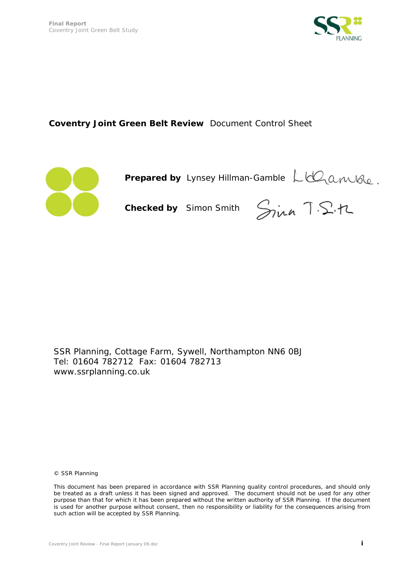

# **Coventry Joint Green Belt Review** *Document Control Sheet*



 **Prepared by** *Lynsey Hillman-Gamble* 

 **Checked by** *Simon Smith* 

SSR Planning, Cottage Farm, Sywell, Northampton NN6 0BJ Tel: 01604 782712 Fax: 01604 782713 www.ssrplanning.co.uk

© SSR Planning

This document has been prepared in accordance with SSR Planning quality control procedures, and should only be treated as a draft unless it has been signed and approved. The document should not be used for any other purpose than that for which it has been prepared without the written authority of SSR Planning. If the document is used for another purpose without consent, then no responsibility or liability for the consequences arising from such action will be accepted by SSR Planning.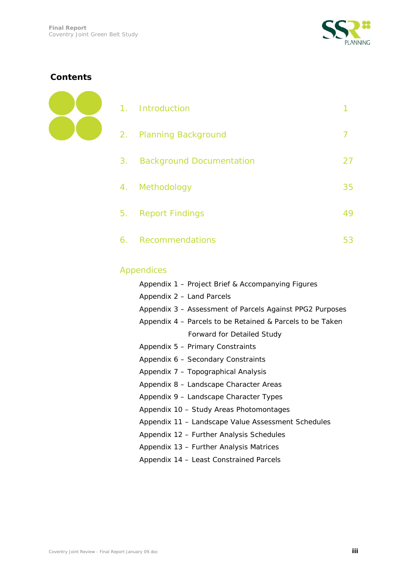

# **Contents**



| 1. Introduction             |    |
|-----------------------------|----|
| 2. Planning Background      |    |
| 3. Background Documentation | 27 |
| 4. Methodology              | 35 |
| 5. Report Findings          | 49 |
| 6. Recommendations          | 53 |

# Appendices

| Appendix 1 – Project Brief & Accompanying Figures         |
|-----------------------------------------------------------|
| Appendix 2 - Land Parcels                                 |
| Appendix 3 – Assessment of Parcels Against PPG2 Purposes  |
| Appendix 4 – Parcels to be Retained & Parcels to be Taken |
| <b>Forward for Detailed Study</b>                         |
| Appendix 5 - Primary Constraints                          |
| Appendix 6 - Secondary Constraints                        |
| Appendix 7 - Topographical Analysis                       |
| Appendix 8 - Landscape Character Areas                    |
| Appendix 9 - Landscape Character Types                    |
| Appendix 10 - Study Areas Photomontages                   |
| Appendix 11 - Landscape Value Assessment Schedules        |
| Appendix 12 - Further Analysis Schedules                  |
| Appendix 13 - Further Analysis Matrices                   |
| Appendix 14 – Least Constrained Parcels                   |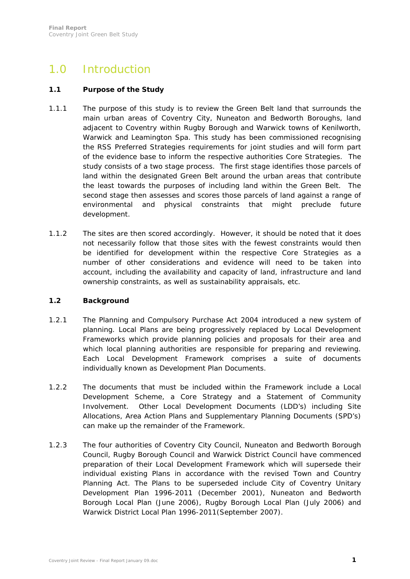# 1.0 Introduction

#### **1.1 Purpose of the Study**

- 1.1.1 The purpose of this study is to review the Green Belt land that surrounds the main urban areas of Coventry City, Nuneaton and Bedworth Boroughs, land adjacent to Coventry within Rugby Borough and Warwick towns of Kenilworth, Warwick and Leamington Spa. This study has been commissioned recognising the RSS Preferred Strategies requirements for joint studies and will form part of the evidence base to inform the respective authorities Core Strategies. The study consists of a two stage process. The first stage identifies those parcels of land within the designated Green Belt around the urban areas that contribute the least towards the purposes of including land within the Green Belt. The second stage then assesses and scores those parcels of land against a range of environmental and physical constraints that might preclude future development.
- 1.1.2 The sites are then scored accordingly. However, it should be noted that it does not necessarily follow that those sites with the fewest constraints would then be identified for development within the respective Core Strategies as a number of other considerations and evidence will need to be taken into account, including the availability and capacity of land, infrastructure and land ownership constraints, as well as sustainability appraisals, etc.

#### **1.2 Background**

- 1.2.1 The Planning and Compulsory Purchase Act 2004 introduced a new system of planning. Local Plans are being progressively replaced by Local Development Frameworks which provide planning policies and proposals for their area and which local planning authorities are responsible for preparing and reviewing. Each Local Development Framework comprises a suite of documents individually known as Development Plan Documents.
- 1.2.2 The documents that must be included within the Framework include a Local Development Scheme, a Core Strategy and a Statement of Community Involvement. Other Local Development Documents (LDD's) including Site Allocations, Area Action Plans and Supplementary Planning Documents (SPD's) can make up the remainder of the Framework.
- 1.2.3 The four authorities of Coventry City Council, Nuneaton and Bedworth Borough Council, Rugby Borough Council and Warwick District Council have commenced preparation of their Local Development Framework which will supersede their individual existing Plans in accordance with the revised Town and Country Planning Act. The Plans to be superseded include City of Coventry Unitary Development Plan 1996-2011 (December 2001), Nuneaton and Bedworth Borough Local Plan (June 2006), Rugby Borough Local Plan (July 2006) and Warwick District Local Plan 1996-2011(September 2007).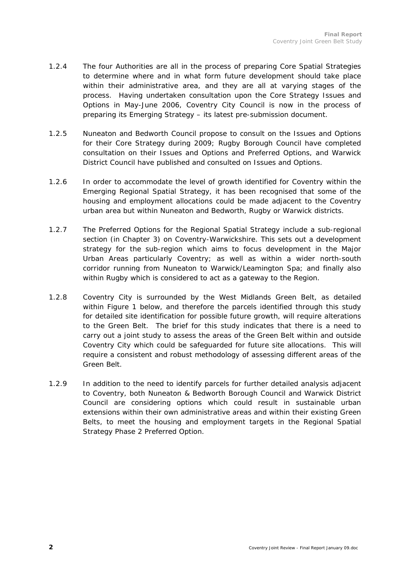- 1.2.4 The four Authorities are all in the process of preparing Core Spatial Strategies to determine where and in what form future development should take place within their administrative area, and they are all at varying stages of the process. Having undertaken consultation upon the Core Strategy Issues and Options in May-June 2006, Coventry City Council is now in the process of preparing its Emerging Strategy – its latest pre-submission document.
- 1.2.5 Nuneaton and Bedworth Council propose to consult on the Issues and Options for their Core Strategy during 2009; Rugby Borough Council have completed consultation on their Issues and Options and Preferred Options, and Warwick District Council have published and consulted on Issues and Options.
- 1.2.6 In order to accommodate the level of growth identified for Coventry within the Emerging Regional Spatial Strategy, it has been recognised that some of the housing and employment allocations could be made adjacent to the Coventry urban area but within Nuneaton and Bedworth, Rugby or Warwick districts.
- 1.2.7 The Preferred Options for the Regional Spatial Strategy include a sub-regional section (in Chapter 3) on Coventry-Warwickshire. This sets out a development strategy for the sub-region which aims to focus development in the Major Urban Areas particularly Coventry; as well as within a wider north-south corridor running from Nuneaton to Warwick/Leamington Spa; and finally also within Rugby which is considered to act as a gateway to the Region.
- 1.2.8 Coventry City is surrounded by the West Midlands Green Belt, as detailed within Figure 1 below, and therefore the parcels identified through this study for detailed site identification for possible future growth, will require alterations to the Green Belt. The brief for this study indicates that there is a need to carry out a joint study to assess the areas of the Green Belt within and outside Coventry City which could be safeguarded for future site allocations. This will require a consistent and robust methodology of assessing different areas of the Green Belt.
- 1.2.9 In addition to the need to identify parcels for further detailed analysis adjacent to Coventry, both Nuneaton & Bedworth Borough Council and Warwick District Council are considering options which could result in sustainable urban extensions within their own administrative areas and within their existing Green Belts, to meet the housing and employment targets in the Regional Spatial Strategy Phase 2 Preferred Option.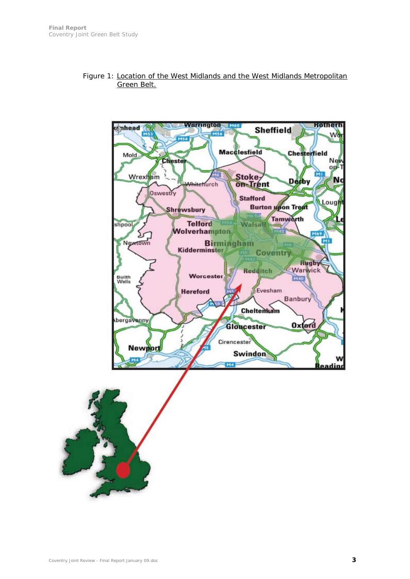

#### Figure 1: Location of the West Midlands and the West Midlands Metropolitan Green Belt.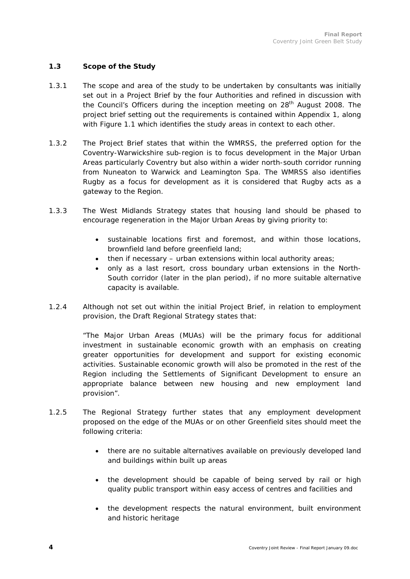### **1.3 Scope of the Study**

- 1.3.1 The scope and area of the study to be undertaken by consultants was initially set out in a Project Brief by the four Authorities and refined in discussion with the Council's Officers during the inception meeting on 28<sup>th</sup> August 2008. The project brief setting out the requirements is contained within Appendix 1, along with Figure 1.1 which identifies the study areas in context to each other.
- 1.3.2 The Project Brief states that within the WMRSS, the preferred option for the Coventry-Warwickshire sub-region is to focus development in the Major Urban Areas particularly Coventry but also within a wider north-south corridor running from Nuneaton to Warwick and Leamington Spa. The WMRSS also identifies Rugby as a focus for development as it is considered that Rugby acts as a gateway to the Region.
- 1.3.3 The West Midlands Strategy states that housing land should be phased to encourage regeneration in the Major Urban Areas by giving priority to:
	- sustainable locations first and foremost, and within those locations, brownfield land before greenfield land;
	- then if necessary urban extensions within local authority areas;
	- only as a last resort, cross boundary urban extensions in the North-South corridor (later in the plan period), if no more suitable alternative capacity is available.
- 1.2.4 Although not set out within the initial Project Brief, in relation to employment provision, the Draft Regional Strategy states that:

*"The Major Urban Areas (MUAs) will be the primary focus for additional investment in sustainable economic growth with an emphasis on creating greater opportunities for development and support for existing economic activities. Sustainable economic growth will also be promoted in the rest of the Region including the Settlements of Significant Development to ensure an appropriate balance between new housing and new employment land provision".* 

- 1.2.5 The Regional Strategy further states that any employment development proposed on the edge of the MUAs or on other Greenfield sites should meet the following criteria:
	- there are no suitable alternatives available on previously developed land and buildings within built up areas
	- the development should be capable of being served by rail or high quality public transport within easy access of centres and facilities and
	- the development respects the natural environment, built environment and historic heritage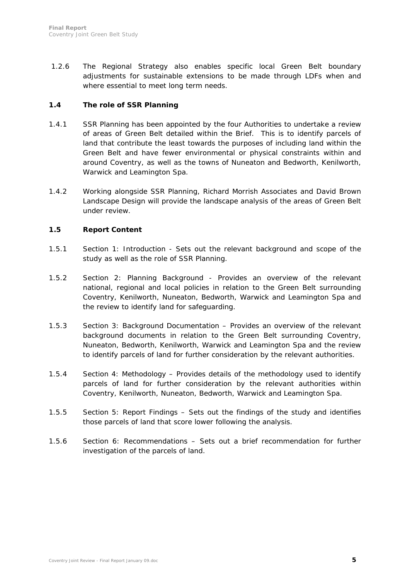1.2.6 The Regional Strategy also enables specific local Green Belt boundary adjustments for sustainable extensions to be made through LDFs when and where essential to meet long term needs.

### **1.4 The role of SSR Planning**

- 1.4.1 SSR Planning has been appointed by the four Authorities to undertake a review of areas of Green Belt detailed within the Brief. This is to identify parcels of land that contribute the least towards the purposes of including land within the Green Belt and have fewer environmental or physical constraints within and around Coventry, as well as the towns of Nuneaton and Bedworth, Kenilworth, Warwick and Leamington Spa.
- 1.4.2 Working alongside SSR Planning, Richard Morrish Associates and David Brown Landscape Design will provide the landscape analysis of the areas of Green Belt under review.

# **1.5 Report Content**

- 1.5.1 Section 1: Introduction Sets out the relevant background and scope of the study as well as the role of SSR Planning.
- 1.5.2 Section 2: Planning Background Provides an overview of the relevant national, regional and local policies in relation to the Green Belt surrounding Coventry, Kenilworth, Nuneaton, Bedworth, Warwick and Leamington Spa and the review to identify land for safeguarding.
- 1.5.3 Section 3: Background Documentation Provides an overview of the relevant background documents in relation to the Green Belt surrounding Coventry, Nuneaton, Bedworth, Kenilworth, Warwick and Leamington Spa and the review to identify parcels of land for further consideration by the relevant authorities.
- 1.5.4 Section 4: Methodology Provides details of the methodology used to identify parcels of land for further consideration by the relevant authorities within Coventry, Kenilworth, Nuneaton, Bedworth, Warwick and Leamington Spa.
- 1.5.5 Section 5: Report Findings Sets out the findings of the study and identifies those parcels of land that score lower following the analysis.
- 1.5.6 Section 6: Recommendations Sets out a brief recommendation for further investigation of the parcels of land.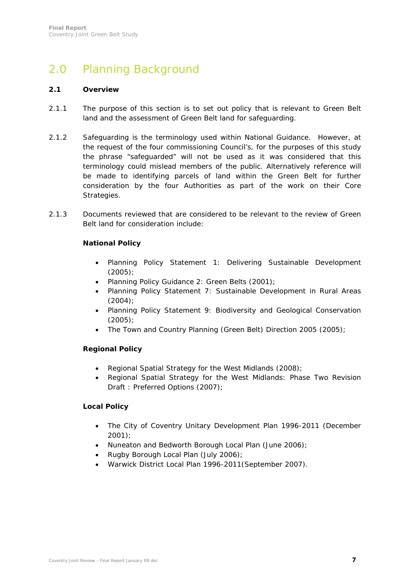# 2.0 Planning Background

#### **2.1 Overview**

- 2.1.1 The purpose of this section is to set out policy that is relevant to Green Belt land and the assessment of Green Belt land for safeguarding.
- 2.1.2 Safeguarding is the terminology used within National Guidance. However, at the request of the four commissioning Council's, for the purposes of this study the phrase "safeguarded" will not be used as it was considered that this terminology could mislead members of the public. Alternatively reference will be made to identifying parcels of land within the Green Belt for further consideration by the four Authorities as part of the work on their Core Strategies.
- 2.1.3 Documents reviewed that are considered to be relevant to the review of Green Belt land for consideration include:

#### **National Policy**

- Planning Policy Statement 1: Delivering Sustainable Development (2005);
- Planning Policy Guidance 2: Green Belts (2001);
- Planning Policy Statement 7: Sustainable Development in Rural Areas (2004);
- Planning Policy Statement 9: Biodiversity and Geological Conservation (2005);
- The Town and Country Planning (Green Belt) Direction 2005 (2005);

#### **Regional Policy**

- Regional Spatial Strategy for the West Midlands (2008);
- Regional Spatial Strategy for the West Midlands: Phase Two Revision Draft : Preferred Options (2007);

### **Local Policy**

- The City of Coventry Unitary Development Plan 1996-2011 (December 2001);
- Nuneaton and Bedworth Borough Local Plan (June 2006);
- Rugby Borough Local Plan (July 2006);
- Warwick District Local Plan 1996-2011(September 2007).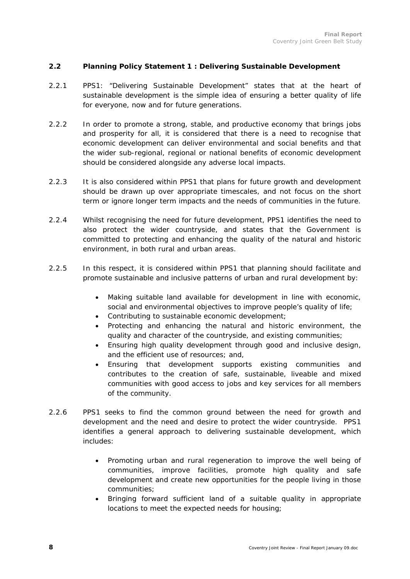#### **2.2 Planning Policy Statement 1 : Delivering Sustainable Development**

- 2.2.1 PPS1: "Delivering Sustainable Development" states that at the heart of sustainable development is the simple idea of ensuring a better quality of life for everyone, now and for future generations.
- 2.2.2 In order to promote a strong, stable, and productive economy that brings jobs and prosperity for all, it is considered that there is a need to recognise that economic development can deliver environmental and social benefits and that the wider sub-regional, regional or national benefits of economic development should be considered alongside any adverse local impacts.
- 2.2.3 It is also considered within PPS1 that plans for future growth and development should be drawn up over appropriate timescales, and not focus on the short term or ignore longer term impacts and the needs of communities in the future.
- 2.2.4 Whilst recognising the need for future development, PPS1 identifies the need to also protect the wider countryside, and states that the Government is committed to protecting and enhancing the quality of the natural and historic environment, in both rural and urban areas.
- 2.2.5 In this respect, it is considered within PPS1 that planning should facilitate and promote sustainable and inclusive patterns of urban and rural development by:
	- Making suitable land available for development in line with economic, social and environmental objectives to improve people's quality of life;
	- Contributing to sustainable economic development;
	- Protecting and enhancing the natural and historic environment, the quality and character of the countryside, and existing communities;
	- Ensuring high quality development through good and inclusive design, and the efficient use of resources; and,
	- Ensuring that development supports existing communities and contributes to the creation of safe, sustainable, liveable and mixed communities with good access to jobs and key services for all members of the community.
- 2.2.6 PPS1 seeks to find the common ground between the need for growth and development and the need and desire to protect the wider countryside. PPS1 identifies a general approach to delivering sustainable development, which includes:
	- Promoting urban and rural regeneration to improve the well being of communities, improve facilities, promote high quality and safe development and create new opportunities for the people living in those communities;
	- Bringing forward sufficient land of a suitable quality in appropriate locations to meet the expected needs for housing;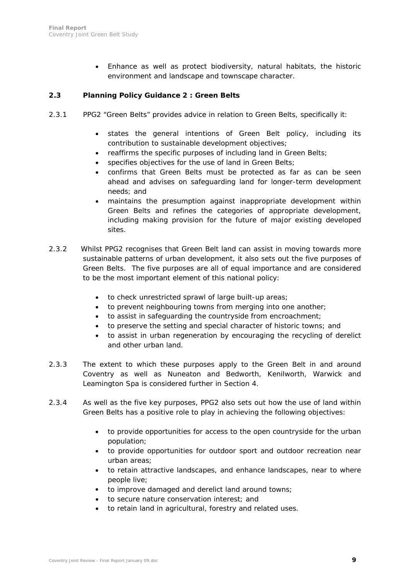• Enhance as well as protect biodiversity, natural habitats, the historic environment and landscape and townscape character.

### **2.3 Planning Policy Guidance 2 : Green Belts**

- 2.3.1 PPG2 "Green Belts" provides advice in relation to Green Belts, specifically it:
	- states the general intentions of Green Belt policy, including its contribution to sustainable development objectives;
	- reaffirms the specific purposes of including land in Green Belts;
	- specifies objectives for the use of land in Green Belts;
	- confirms that Green Belts must be protected as far as can be seen ahead and advises on safeguarding land for longer-term development needs; and
	- maintains the presumption against inappropriate development within Green Belts and refines the categories of appropriate development, including making provision for the future of major existing developed sites.
- 2.3.2 Whilst PPG2 recognises that Green Belt land can assist in moving towards more sustainable patterns of urban development, it also sets out the five purposes of Green Belts. The five purposes are all of equal importance and are considered to be the most important element of this national policy:
	- to check unrestricted sprawl of large built-up areas;
	- to prevent neighbouring towns from merging into one another;
	- to assist in safeguarding the countryside from encroachment;
	- to preserve the setting and special character of historic towns; and
	- to assist in urban regeneration by encouraging the recycling of derelict and other urban land.
- 2.3.3 The extent to which these purposes apply to the Green Belt in and around Coventry as well as Nuneaton and Bedworth, Kenilworth, Warwick and Leamington Spa is considered further in Section 4.
- 2.3.4 As well as the five key purposes, PPG2 also sets out how the use of land within Green Belts has a positive role to play in achieving the following objectives:
	- to provide opportunities for access to the open countryside for the urban population;
	- to provide opportunities for outdoor sport and outdoor recreation near urban areas;
	- to retain attractive landscapes, and enhance landscapes, near to where people live;
	- to improve damaged and derelict land around towns;
	- to secure nature conservation interest; and
	- to retain land in agricultural, forestry and related uses.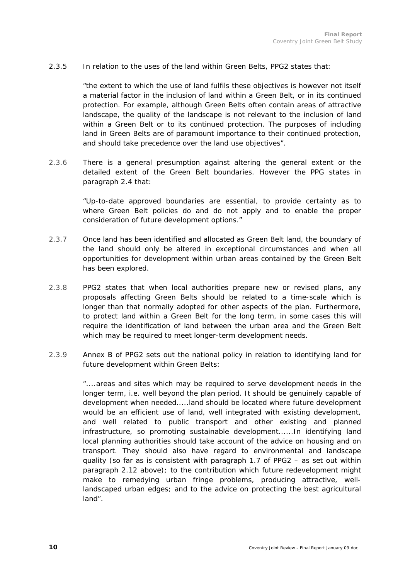#### 2.3.5 In relation to the uses of the land within Green Belts, PPG2 states that:

*"the extent to which the use of land fulfils these objectives is however not itself a material factor in the inclusion of land within a Green Belt, or in its continued protection. For example, although Green Belts often contain areas of attractive landscape, the quality of the landscape is not relevant to the inclusion of land within a Green Belt or to its continued protection. The purposes of including land in Green Belts are of paramount importance to their continued protection, and should take precedence over the land use objectives".* 

2.3.6 There is a general presumption against altering the general extent or the detailed extent of the Green Belt boundaries. However the PPG states in paragraph 2.4 that:

> *"Up-to-date approved boundaries are essential, to provide certainty as to where Green Belt policies do and do not apply and to enable the proper consideration of future development options."*

- 2.3.7 Once land has been identified and allocated as Green Belt land, the boundary of the land should only be altered in exceptional circumstances and when all opportunities for development within urban areas contained by the Green Belt has been explored.
- 2.3.8 PPG2 states that when local authorities prepare new or revised plans, any proposals affecting Green Belts should be related to a time-scale which is longer than that normally adopted for other aspects of the plan. Furthermore, to protect land within a Green Belt for the long term, in some cases this will require the identification of land between the urban area and the Green Belt which may be required to meet longer-term development needs.
- 2.3.9 Annex B of PPG2 sets out the national policy in relation to identifying land for future development within Green Belts:

"....*areas and sites which may be required to serve development needs in the longer term, i.e. well beyond the plan period. It should be genuinely capable of development when needed.....land should be located where future development would be an efficient use of land, well integrated with existing development, and well related to public transport and other existing and planned infrastructure, so promoting sustainable development......In identifying land local planning authorities should take account of the advice on housing and on transport. They should also have regard to environmental and landscape quality (so far as is consistent with paragraph 1.7 of PPG2 – as set out within paragraph 2.12 above); to the contribution which future redevelopment might make to remedying urban fringe problems, producing attractive, welllandscaped urban edges; and to the advice on protecting the best agricultural land".*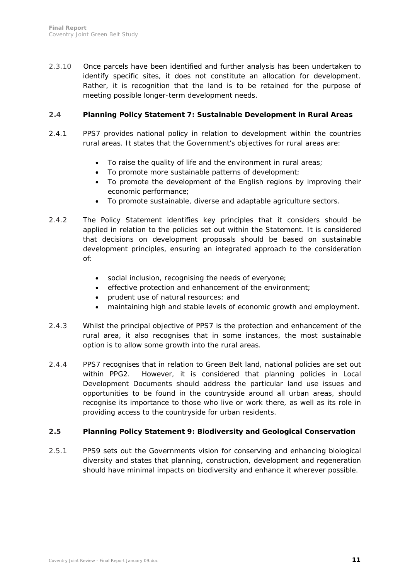2.3.10 Once parcels have been identified and further analysis has been undertaken to identify specific sites, it does not constitute an allocation for development. Rather, it is recognition that the land is to be retained for the purpose of meeting possible longer-term development needs.

#### **2.4 Planning Policy Statement 7: Sustainable Development in Rural Areas**

- 2.4.1 PPS7 provides national policy in relation to development within the countries rural areas. It states that the Government's objectives for rural areas are:
	- To raise the quality of life and the environment in rural areas;
	- To promote more sustainable patterns of development;
	- To promote the development of the English regions by improving their economic performance;
	- To promote sustainable, diverse and adaptable agriculture sectors.
- 2.4.2 The Policy Statement identifies key principles that it considers should be applied in relation to the policies set out within the Statement. It is considered that decisions on development proposals should be based on sustainable development principles, ensuring an integrated approach to the consideration of:
	- social inclusion, recognising the needs of everyone;
	- effective protection and enhancement of the environment:
	- prudent use of natural resources; and
	- maintaining high and stable levels of economic growth and employment.
- 2.4.3 Whilst the principal objective of PPS7 is the protection and enhancement of the rural area, it also recognises that in some instances, the most sustainable option is to allow some growth into the rural areas.
- 2.4.4 PPS7 recognises that in relation to Green Belt land, national policies are set out within PPG2. However, it is considered that planning policies in Local Development Documents should address the particular land use issues and opportunities to be found in the countryside around all urban areas, should recognise its importance to those who live or work there, as well as its role in providing access to the countryside for urban residents.

### **2.5 Planning Policy Statement 9: Biodiversity and Geological Conservation**

2.5.1 PPS9 sets out the Governments vision for conserving and enhancing biological diversity and states that planning, construction, development and regeneration should have minimal impacts on biodiversity and enhance it wherever possible.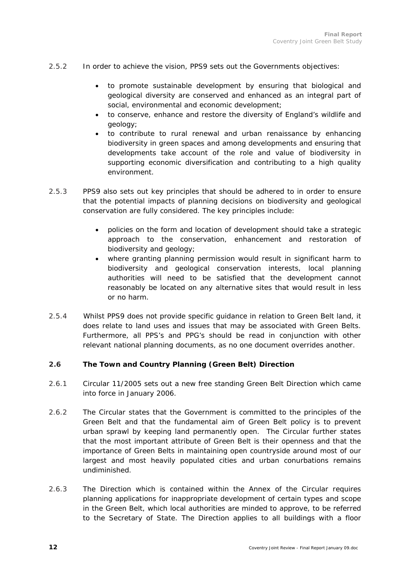- 2.5.2 In order to achieve the vision, PPS9 sets out the Governments objectives:
	- to promote sustainable development by ensuring that biological and geological diversity are conserved and enhanced as an integral part of social, environmental and economic development;
	- to conserve, enhance and restore the diversity of England's wildlife and geology;
	- to contribute to rural renewal and urban renaissance by enhancing biodiversity in green spaces and among developments and ensuring that developments take account of the role and value of biodiversity in supporting economic diversification and contributing to a high quality environment.
- 2.5.3 PPS9 also sets out key principles that should be adhered to in order to ensure that the potential impacts of planning decisions on biodiversity and geological conservation are fully considered. The key principles include:
	- policies on the form and location of development should take a strategic approach to the conservation, enhancement and restoration of biodiversity and geology;
	- where granting planning permission would result in significant harm to biodiversity and geological conservation interests, local planning authorities will need to be satisfied that the development cannot reasonably be located on any alternative sites that would result in less or no harm.
- 2.5.4 Whilst PPS9 does not provide specific guidance in relation to Green Belt land, it does relate to land uses and issues that may be associated with Green Belts. Furthermore, all PPS's and PPG's should be read in conjunction with other relevant national planning documents, as no one document overrides another.

### **2.6 The Town and Country Planning (Green Belt) Direction**

- 2.6.1 Circular 11/2005 sets out a new free standing Green Belt Direction which came into force in January 2006.
- 2.6.2 The Circular states that the Government is committed to the principles of the Green Belt and that the fundamental aim of Green Belt policy is to prevent urban sprawl by keeping land permanently open. The Circular further states that the most important attribute of Green Belt is their openness and that the importance of Green Belts in maintaining open countryside around most of our largest and most heavily populated cities and urban conurbations remains undiminished.
- 2.6.3 The Direction which is contained within the Annex of the Circular requires planning applications for inappropriate development of certain types and scope in the Green Belt, which local authorities are minded to approve, to be referred to the Secretary of State. The Direction applies to all buildings with a floor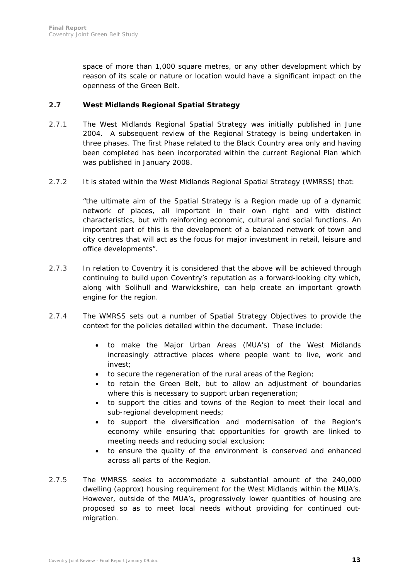space of more than 1,000 square metres, or any other development which by reason of its scale or nature or location would have a significant impact on the openness of the Green Belt.

### **2.7 West Midlands Regional Spatial Strategy**

- 2.7.1 The West Midlands Regional Spatial Strategy was initially published in June 2004. A subsequent review of the Regional Strategy is being undertaken in three phases. The first Phase related to the Black Country area only and having been completed has been incorporated within the current Regional Plan which was published in January 2008.
- 2.7.2 It is stated within the West Midlands Regional Spatial Strategy (WMRSS) that:

*"the ultimate aim of the Spatial Strategy is a Region made up of a dynamic network of places, all important in their own right and with distinct characteristics, but with reinforcing economic, cultural and social functions. An important part of this is the development of a balanced network of town and city centres that will act as the focus for major investment in retail, leisure and office developments".* 

- 2.7.3 In relation to Coventry it is considered that the above will be achieved through continuing to build upon Coventry's reputation as a forward-looking city which, along with Solihull and Warwickshire, can help create an important growth engine for the region.
- 2.7.4 The WMRSS sets out a number of Spatial Strategy Objectives to provide the context for the policies detailed within the document. These include:
	- to make the Major Urban Areas (MUA's) of the West Midlands increasingly attractive places where people want to live, work and invest;
	- to secure the regeneration of the rural areas of the Region;
	- to retain the Green Belt, but to allow an adjustment of boundaries where this is necessary to support urban regeneration;
	- to support the cities and towns of the Region to meet their local and sub-regional development needs;
	- to support the diversification and modernisation of the Region's economy while ensuring that opportunities for growth are linked to meeting needs and reducing social exclusion;
	- to ensure the quality of the environment is conserved and enhanced across all parts of the Region.
- 2.7.5 The WMRSS seeks to accommodate a substantial amount of the 240,000 dwelling (approx) housing requirement for the West Midlands within the MUA's. However, outside of the MUA's, progressively lower quantities of housing are proposed so as to meet local needs without providing for continued outmigration.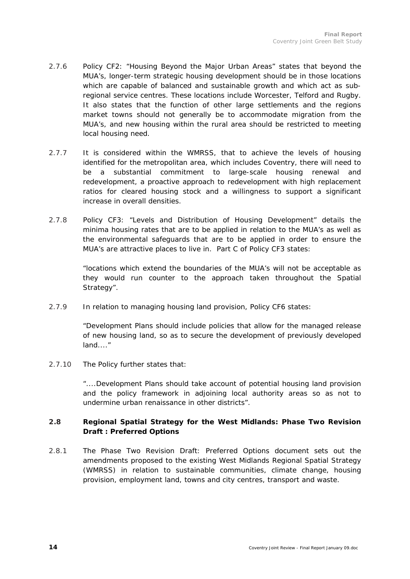- 2.7.6 Policy CF2: "Housing Beyond the Major Urban Areas" states that beyond the MUA's, longer-term strategic housing development should be in those locations which are capable of balanced and sustainable growth and which act as subregional service centres. These locations include Worcester, Telford and Rugby. It also states that the function of other large settlements and the regions market towns should not generally be to accommodate migration from the MUA's, and new housing within the rural area should be restricted to meeting local housing need.
- 2.7.7 It is considered within the WMRSS, that to achieve the levels of housing identified for the metropolitan area, which includes Coventry, there will need to be a substantial commitment to large-scale housing renewal and redevelopment, a proactive approach to redevelopment with high replacement ratios for cleared housing stock and a willingness to support a significant increase in overall densities.
- 2.7.8 Policy CF3: "Levels and Distribution of Housing Development" details the minima housing rates that are to be applied in relation to the MUA's as well as the environmental safeguards that are to be applied in order to ensure the MUA's are attractive places to live in. Part C of Policy CF3 states:

*"locations which extend the boundaries of the MUA's will not be acceptable as they would run counter to the approach taken throughout the Spatial Strategy".* 

2.7.9 In relation to managing housing land provision, Policy CF6 states:

*"Development Plans should include policies that allow for the managed release of new housing land, so as to secure the development of previously developed land...."* 

2.7.10 The Policy further states that:

*"....Development Plans should take account of potential housing land provision and the policy framework in adjoining local authority areas so as not to undermine urban renaissance in other districts".* 

### **2.8 Regional Spatial Strategy for the West Midlands: Phase Two Revision Draft : Preferred Options**

2.8.1 The Phase Two Revision Draft: Preferred Options document sets out the amendments proposed to the existing West Midlands Regional Spatial Strategy (WMRSS) in relation to sustainable communities, climate change, housing provision, employment land, towns and city centres, transport and waste.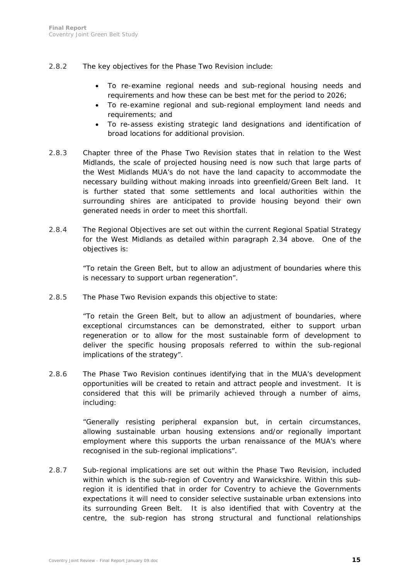- 2.8.2 The key objectives for the Phase Two Revision include:
	- To re-examine regional needs and sub-regional housing needs and requirements and how these can be best met for the period to 2026;
	- To re-examine regional and sub-regional employment land needs and requirements; and
	- To re-assess existing strategic land designations and identification of broad locations for additional provision.
- 2.8.3 Chapter three of the Phase Two Revision states that in relation to the West Midlands, the scale of projected housing need is now such that large parts of the West Midlands MUA's do not have the land capacity to accommodate the necessary building without making inroads into greenfield/Green Belt land. It is further stated that some settlements and local authorities within the surrounding shires are anticipated to provide housing beyond their own generated needs in order to meet this shortfall.
- 2.8.4 The Regional Objectives are set out within the current Regional Spatial Strategy for the West Midlands as detailed within paragraph 2.34 above. One of the objectives is:

*"To retain the Green Belt, but to allow an adjustment of boundaries where this is necessary to support urban regeneration".* 

2.8.5 The Phase Two Revision expands this objective to state:

*"To retain the Green Belt, but to allow an adjustment of boundaries, where exceptional circumstances can be demonstrated, either to support urban regeneration or to allow for the most sustainable form of development to*  deliver the specific housing proposals referred to within the sub-regional *implications of the strategy".* 

2.8.6 The Phase Two Revision continues identifying that in the MUA's development opportunities will be created to retain and attract people and investment. It is considered that this will be primarily achieved through a number of aims, including:

> *"Generally resisting peripheral expansion but, in certain circumstances, allowing sustainable urban housing extensions and/or regionally important employment where this supports the urban renaissance of the MUA's where recognised in the sub-regional implications".*

2.8.7 Sub-regional implications are set out within the Phase Two Revision, included within which is the sub-region of Coventry and Warwickshire. Within this subregion it is identified that in order for Coventry to achieve the Governments expectations it will need to consider selective sustainable urban extensions into its surrounding Green Belt. It is also identified that with Coventry at the centre, the sub-region has strong structural and functional relationships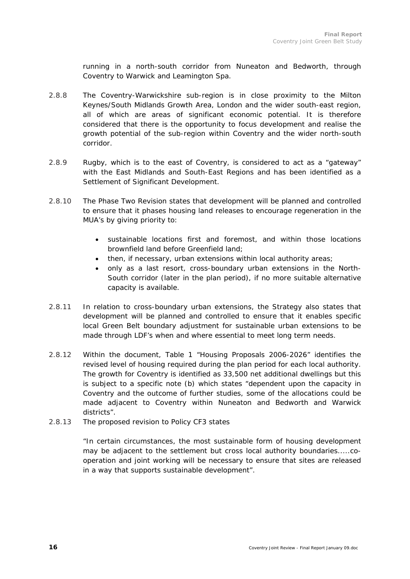running in a north-south corridor from Nuneaton and Bedworth, through Coventry to Warwick and Leamington Spa.

- 2.8.8 The Coventry-Warwickshire sub-region is in close proximity to the Milton Keynes/South Midlands Growth Area, London and the wider south-east region, all of which are areas of significant economic potential. It is therefore considered that there is the opportunity to focus development and realise the growth potential of the sub-region within Coventry and the wider north-south corridor.
- 2.8.9 Rugby, which is to the east of Coventry, is considered to act as a "gateway" with the East Midlands and South-East Regions and has been identified as a Settlement of Significant Development.
- 2.8.10 The Phase Two Revision states that development will be planned and controlled to ensure that it phases housing land releases to encourage regeneration in the MUA's by giving priority to:
	- *sustainable locations first and foremost, and within those locations brownfield land before Greenfield land;*
	- *then, if necessary, urban extensions within local authority areas;*
	- *only as a last resort, cross-boundary urban extensions in the North-South corridor (later in the plan period), if no more suitable alternative capacity is available.*
- 2.8.11 In relation to cross-boundary urban extensions, the Strategy also states that development will be planned and controlled to ensure that it enables specific local Green Belt boundary adjustment for sustainable urban extensions to be made through LDF's when and where essential to meet long term needs.
- 2.8.12 Within the document, Table 1 "Housing Proposals 2006-2026" identifies the revised level of housing required during the plan period for each local authority. The growth for Coventry is identified as 33,500 net additional dwellings but this is subject to a specific note (b) which states "dependent upon the capacity in Coventry and the outcome of further studies, some of the allocations could be made adjacent to Coventry within Nuneaton and Bedworth and Warwick districts".
- 2.8.13 The proposed revision to Policy CF3 states

*"In certain circumstances, the most sustainable form of housing development may be adjacent to the settlement but cross local authority boundaries.....cooperation and joint working will be necessary to ensure that sites are released in a way that supports sustainable development".*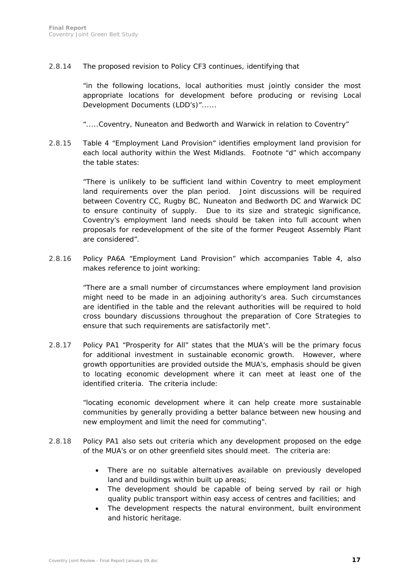2.8.14 The proposed revision to Policy CF3 continues, identifying that

*"in the following locations, local authorities must jointly consider the most appropriate locations for development before producing or revising Local Development Documents (LDD's)"......* 

*".....Coventry, Nuneaton and Bedworth and Warwick in relation to Coventry"* 

2.8.15 Table 4 "Employment Land Provision" identifies employment land provision for each local authority within the West Midlands. Footnote "d" which accompany the table states:

> *"There is unlikely to be sufficient land within Coventry to meet employment*  land requirements over the plan period. Joint discussions will be required *between Coventry CC, Rugby BC, Nuneaton and Bedworth DC and Warwick DC to ensure continuity of supply. Due to its size and strategic significance, Coventry's employment land needs should be taken into full account when proposals for redevelopment of the site of the former Peugeot Assembly Plant are considered".*

2.8.16 Policy PA6A "Employment Land Provision" which accompanies Table 4, also makes reference to joint working:

> *"There are a small number of circumstances where employment land provision might need to be made in an adjoining authority's area. Such circumstances are identified in the table and the relevant authorities will be required to hold cross boundary discussions throughout the preparation of Core Strategies to ensure that such requirements are satisfactorily met".*

2.8.17 Policy PA1 "Prosperity for All" states that the MUA's will be the primary focus for additional investment in sustainable economic growth. However, where growth opportunities are provided outside the MUA's, emphasis should be given to locating economic development where it can meet at least one of the identified criteria. The criteria include:

> *"locating economic development where it can help create more sustainable communities by generally providing a better balance between new housing and new employment and limit the need for commuting".*

- 2.8.18 Policy PA1 also sets out criteria which any development proposed on the edge of the MUA's or on other greenfield sites should meet. The criteria are:
	- There are no suitable alternatives available on previously developed land and buildings within built up areas;
	- The development should be capable of being served by rail or high quality public transport within easy access of centres and facilities; and
	- The development respects the natural environment, built environment and historic heritage.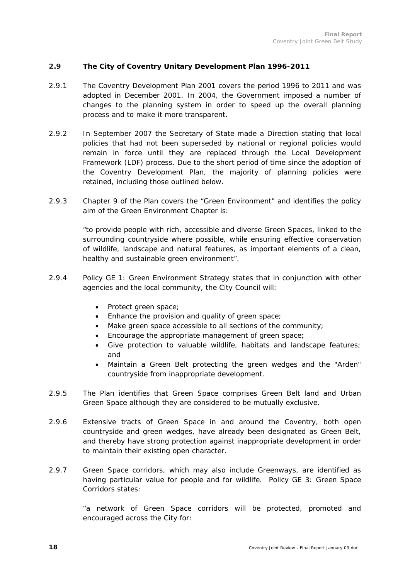### **2.9 The City of Coventry Unitary Development Plan 1996-2011**

- 2.9.1 The Coventry Development Plan 2001 covers the period 1996 to 2011 and was adopted in December 2001. In 2004, the Government imposed a number of changes to the planning system in order to speed up the overall planning process and to make it more transparent.
- 2.9.2 In September 2007 the Secretary of State made a Direction stating that local policies that had not been superseded by national or regional policies would remain in force until they are replaced through the Local Development Framework (LDF) process. Due to the short period of time since the adoption of the Coventry Development Plan, the majority of planning policies were retained, including those outlined below.
- 2.9.3 Chapter 9 of the Plan covers the "Green Environment" and identifies the policy aim of the Green Environment Chapter is:

*"to provide people with rich, accessible and diverse Green Spaces, linked to the surrounding countryside where possible, while ensuring effective conservation of wildlife, landscape and natural features, as important elements of a clean, healthy and sustainable green environment".*

- 2.9.4 Policy GE 1: Green Environment Strategy states that in conjunction with other agencies and the local community, the City Council will:
	- Protect green space;
	- Enhance the provision and quality of green space;
	- Make green space accessible to all sections of the community;
	- Encourage the appropriate management of green space;
	- Give protection to valuable wildlife, habitats and landscape features; and
	- Maintain a Green Belt protecting the green wedges and the "Arden" countryside from inappropriate development.
- 2.9.5 The Plan identifies that Green Space comprises Green Belt land and Urban Green Space although they are considered to be mutually exclusive.
- 2.9.6 Extensive tracts of Green Space in and around the Coventry, both open countryside and green wedges, have already been designated as Green Belt, and thereby have strong protection against inappropriate development in order to maintain their existing open character.
- 2.9.7 Green Space corridors, which may also include Greenways, are identified as having particular value for people and for wildlife. Policy GE 3: Green Space Corridors states:

*"a network of Green Space corridors will be protected, promoted and encouraged across the City for:*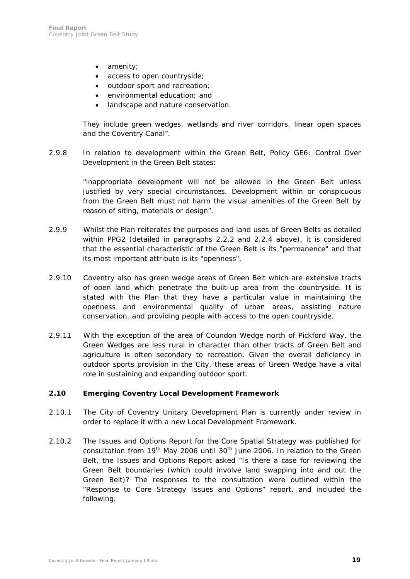- *amenity;*
- *access to open countryside;*
- *outdoor sport and recreation;*
- *environmental education; and*
- *landscape and nature conservation.*

*They include green wedges, wetlands and river corridors, linear open spaces and the Coventry Canal".* 

2.9.8 In relation to development within the Green Belt, Policy GE6: Control Over Development in the Green Belt states:

> *"inappropriate development will not be allowed in the Green Belt unless justified by very special circumstances. Development within or conspicuous from the Green Belt must not harm the visual amenities of the Green Belt by reason of siting, materials or design".*

- 2.9.9 Whilst the Plan reiterates the purposes and land uses of Green Belts as detailed within PPG2 (detailed in paragraphs 2.2.2 and 2.2.4 above), it is considered that the essential characteristic of the Green Belt is its "permanence" and that its most important attribute is its "openness".
- 2.9.10 Coventry also has green wedge areas of Green Belt which are extensive tracts of open land which penetrate the built-up area from the countryside. It is stated with the Plan that they have a particular value in maintaining the openness and environmental quality of urban areas, assisting nature conservation, and providing people with access to the open countryside.
- 2.9.11 With the exception of the area of Coundon Wedge north of Pickford Way, the Green Wedges are less rural in character than other tracts of Green Belt and agriculture is often secondary to recreation. Given the overall deficiency in outdoor sports provision in the City, these areas of Green Wedge have a vital role in sustaining and expanding outdoor sport.

#### **2.10 Emerging Coventry Local Development Framework**

- 2.10.1 The City of Coventry Unitary Development Plan is currently under review in order to replace it with a new Local Development Framework.
- 2.10.2 The Issues and Options Report for the Core Spatial Strategy was published for consultation from 19<sup>th</sup> May 2006 until 30<sup>th</sup> June 2006. In relation to the Green Belt, the Issues and Options Report asked "Is there a case for reviewing the Green Belt boundaries (which could involve land swapping into and out the Green Belt)? The responses to the consultation were outlined within the "Response to Core Strategy Issues and Options" report, and included the following: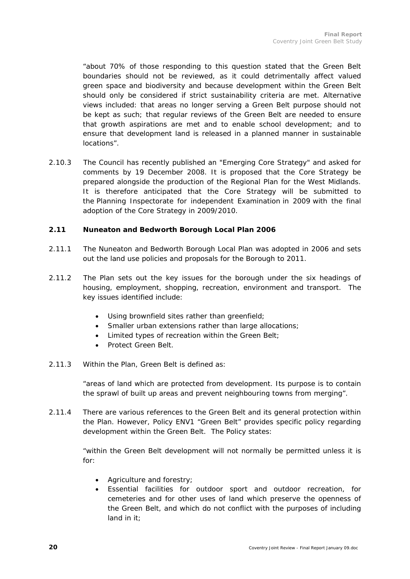*"about 70% of those responding to this question stated that the Green Belt boundaries should not be reviewed, as it could detrimentally affect valued green space and biodiversity and because development within the Green Belt should only be considered if strict sustainability criteria are met. Alternative views included: that areas no longer serving a Green Belt purpose should not be kept as such; that regular reviews of the Green Belt are needed to ensure that growth aspirations are met and to enable school development; and to ensure that development land is released in a planned manner in sustainable locations".* 

2.10.3 The Council has recently published an "Emerging Core Strategy" and asked for comments by 19 December 2008. It is proposed that the Core Strategy be prepared alongside the production of the Regional Plan for the West Midlands. It is therefore anticipated that the Core Strategy will be submitted to the Planning Inspectorate for independent Examination in 2009 with the final adoption of the Core Strategy in 2009/2010.

### **2.11 Nuneaton and Bedworth Borough Local Plan 2006**

- 2.11.1 The Nuneaton and Bedworth Borough Local Plan was adopted in 2006 and sets out the land use policies and proposals for the Borough to 2011.
- 2.11.2 The Plan sets out the key issues for the borough under the six headings of housing, employment, shopping, recreation, environment and transport. The key issues identified include:
	- Using brownfield sites rather than greenfield;
	- Smaller urban extensions rather than large allocations;
	- Limited types of recreation within the Green Belt;
	- Protect Green Belt.
- 2.11.3 Within the Plan, Green Belt is defined as:

*"areas of land which are protected from development. Its purpose is to contain the sprawl of built up areas and prevent neighbouring towns from merging".* 

2.11.4 There are various references to the Green Belt and its general protection within the Plan. However, Policy ENV1 "Green Belt" provides specific policy regarding development within the Green Belt. The Policy states:

> *"within the Green Belt development will not normally be permitted unless it is for:*

- *Agriculture and forestry;*
- *Essential facilities for outdoor sport and outdoor recreation, for cemeteries and for other uses of land which preserve the openness of the Green Belt, and which do not conflict with the purposes of including land in it;*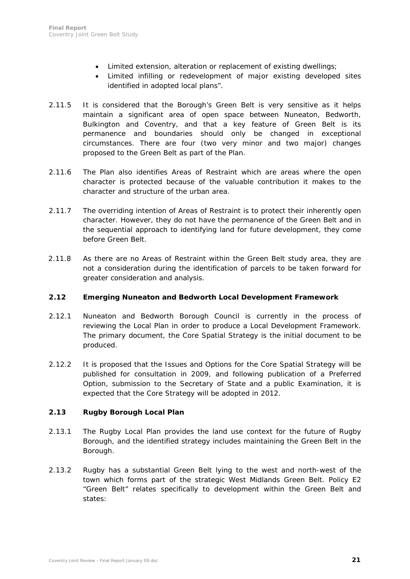- *Limited extension, alteration or replacement of existing dwellings;*
- *Limited infilling or redevelopment of major existing developed sites identified in adopted local plans".*
- 2.11.5 It is considered that the Borough's Green Belt is very sensitive as it helps maintain a significant area of open space between Nuneaton, Bedworth, Bulkington and Coventry, and that a key feature of Green Belt is its permanence and boundaries should only be changed in exceptional circumstances. There are four (two very minor and two major) changes proposed to the Green Belt as part of the Plan.
- 2.11.6 The Plan also identifies Areas of Restraint which are areas where the open character is protected because of the valuable contribution it makes to the character and structure of the urban area.
- 2.11.7 The overriding intention of Areas of Restraint is to protect their inherently open character. However, they do not have the permanence of the Green Belt and in the sequential approach to identifying land for future development, they come before Green Belt.
- 2.11.8 As there are no Areas of Restraint within the Green Belt study area, they are not a consideration during the identification of parcels to be taken forward for greater consideration and analysis.

#### **2.12 Emerging Nuneaton and Bedworth Local Development Framework**

- 2.12.1 Nuneaton and Bedworth Borough Council is currently in the process of reviewing the Local Plan in order to produce a Local Development Framework. The primary document, the Core Spatial Strategy is the initial document to be produced.
- 2.12.2 It is proposed that the Issues and Options for the Core Spatial Strategy will be published for consultation in 2009, and following publication of a Preferred Option, submission to the Secretary of State and a public Examination, it is expected that the Core Strategy will be adopted in 2012.

### **2.13 Rugby Borough Local Plan**

- 2.13.1 The Rugby Local Plan provides the land use context for the future of Rugby Borough, and the identified strategy includes maintaining the Green Belt in the Borough.
- 2.13.2 Rugby has a substantial Green Belt lying to the west and north-west of the town which forms part of the strategic West Midlands Green Belt. Policy E2 "Green Belt" relates specifically to development within the Green Belt and states: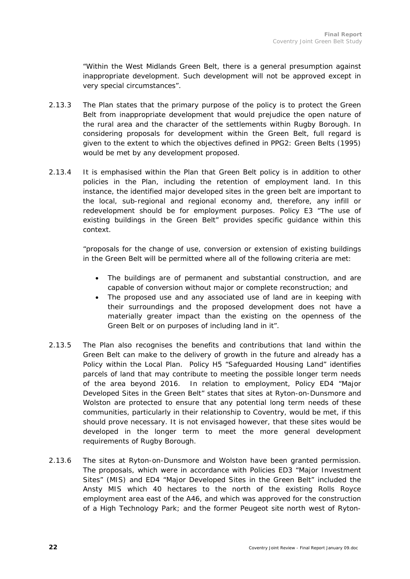*"Within the West Midlands Green Belt, there is a general presumption against inappropriate development. Such development will not be approved except in very special circumstances".* 

- 2.13.3 The Plan states that the primary purpose of the policy is to protect the Green Belt from inappropriate development that would prejudice the open nature of the rural area and the character of the settlements within Rugby Borough. In considering proposals for development within the Green Belt, full regard is given to the extent to which the objectives defined in PPG2: Green Belts (1995) would be met by any development proposed.
- 2.13.4 It is emphasised within the Plan that Green Belt policy is in addition to other policies in the Plan, including the retention of employment land. In this instance, the identified major developed sites in the green belt are important to the local, sub-regional and regional economy and, therefore, any infill or redevelopment should be for employment purposes. Policy E3 "The use of existing buildings in the Green Belt" provides specific guidance within this context.

*"proposals for the change of use, conversion or extension of existing buildings in the Green Belt will be permitted where all of the following criteria are met:* 

- *The buildings are of permanent and substantial construction, and are capable of conversion without major or complete reconstruction; and*
- *The proposed use and any associated use of land are in keeping with their surroundings and the proposed development does not have a materially greater impact than the existing on the openness of the Green Belt or on purposes of including land in it".*
- 2.13.5 The Plan also recognises the benefits and contributions that land within the Green Belt can make to the delivery of growth in the future and already has a Policy within the Local Plan. Policy H5 "Safeguarded Housing Land" identifies parcels of land that may contribute to meeting the possible longer term needs of the area beyond 2016. In relation to employment, Policy ED4 "Major Developed Sites in the Green Belt" states that sites at Ryton-on-Dunsmore and Wolston are protected to ensure that any potential long term needs of these communities, particularly in their relationship to Coventry, would be met, if this should prove necessary. It is not envisaged however, that these sites would be developed in the longer term to meet the more general development requirements of Rugby Borough.
- 2.13.6 The sites at Ryton-on-Dunsmore and Wolston have been granted permission. The proposals, which were in accordance with Policies ED3 "Major Investment Sites" (MIS) and ED4 "Major Developed Sites in the Green Belt" included the Ansty MIS which 40 hectares to the north of the existing Rolls Royce employment area east of the A46, and which was approved for the construction of a High Technology Park; and the former Peugeot site north west of Ryton-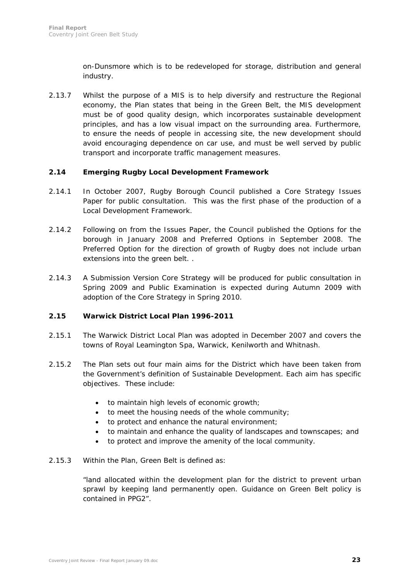on-Dunsmore which is to be redeveloped for storage, distribution and general industry.

2.13.7 Whilst the purpose of a MIS is to help diversify and restructure the Regional economy, the Plan states that being in the Green Belt, the MIS development must be of good quality design, which incorporates sustainable development principles, and has a low visual impact on the surrounding area. Furthermore, to ensure the needs of people in accessing site, the new development should avoid encouraging dependence on car use, and must be well served by public transport and incorporate traffic management measures.

#### **2.14 Emerging Rugby Local Development Framework**

- 2.14.1 In October 2007, Rugby Borough Council published a Core Strategy Issues Paper for public consultation. This was the first phase of the production of a Local Development Framework.
- 2.14.2 Following on from the Issues Paper, the Council published the Options for the borough in January 2008 and Preferred Options in September 2008. The Preferred Option for the direction of growth of Rugby does not include urban extensions into the green belt. .
- 2.14.3 A Submission Version Core Strategy will be produced for public consultation in Spring 2009 and Public Examination is expected during Autumn 2009 with adoption of the Core Strategy in Spring 2010.

### **2.15 Warwick District Local Plan 1996-2011**

- 2.15.1 The Warwick District Local Plan was adopted in December 2007 and covers the towns of Royal Leamington Spa, Warwick, Kenilworth and Whitnash.
- 2.15.2 The Plan sets out four main aims for the District which have been taken from the Government's definition of Sustainable Development. Each aim has specific objectives. These include:
	- to maintain high levels of economic growth;
	- to meet the housing needs of the whole community;
	- to protect and enhance the natural environment;
	- to maintain and enhance the quality of landscapes and townscapes; and
	- to protect and improve the amenity of the local community.

#### 2.15.3 Within the Plan, Green Belt is defined as:

*"land allocated within the development plan for the district to prevent urban sprawl by keeping land permanently open. Guidance on Green Belt policy is contained in PPG2".*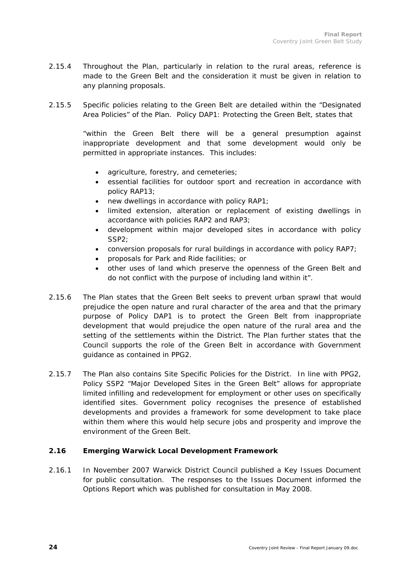- 2.15.4 Throughout the Plan, particularly in relation to the rural areas, reference is made to the Green Belt and the consideration it must be given in relation to any planning proposals.
- 2.15.5 Specific policies relating to the Green Belt are detailed within the "Designated Area Policies" of the Plan. Policy DAP1: Protecting the Green Belt, states that

*"within the Green Belt there will be a general presumption against inappropriate development and that some development would only be permitted in appropriate instances.* This includes:

- *agriculture, forestry, and cemeteries;*
- *essential facilities for outdoor sport and recreation in accordance with policy RAP13;*
- *new dwellings in accordance with policy RAP1;*
- *limited extension, alteration or replacement of existing dwellings in accordance with policies RAP2 and RAP3;*
- *development within major developed sites in accordance with policy SSP2;*
- *conversion proposals for rural buildings in accordance with policy RAP7;*
- *proposals for Park and Ride facilities; or*
- *other uses of land which preserve the openness of the Green Belt and do not conflict with the purpose of including land within it".*
- 2.15.6 The Plan states that the Green Belt seeks to prevent urban sprawl that would prejudice the open nature and rural character of the area and that the primary purpose of Policy DAP1 is to protect the Green Belt from inappropriate development that would prejudice the open nature of the rural area and the setting of the settlements within the District. The Plan further states that the Council supports the role of the Green Belt in accordance with Government guidance as contained in PPG2.
- 2.15.7 The Plan also contains Site Specific Policies for the District. In line with PPG2, Policy SSP2 "Major Developed Sites in the Green Belt" allows for appropriate limited infilling and redevelopment for employment or other uses on specifically identified sites. Government policy recognises the presence of established developments and provides a framework for some development to take place within them where this would help secure jobs and prosperity and improve the environment of the Green Belt.

### **2.16 Emerging Warwick Local Development Framework**

2.16.1 In November 2007 Warwick District Council published a Key Issues Document for public consultation. The responses to the Issues Document informed the Options Report which was published for consultation in May 2008.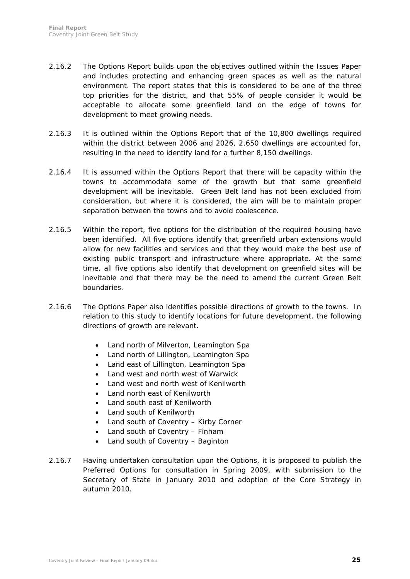- 2.16.2 The Options Report builds upon the objectives outlined within the Issues Paper and includes protecting and enhancing green spaces as well as the natural environment. The report states that this is considered to be one of the three top priorities for the district, and that 55% of people consider it would be acceptable to allocate some greenfield land on the edge of towns for development to meet growing needs.
- 2.16.3 It is outlined within the Options Report that of the 10,800 dwellings required within the district between 2006 and 2026, 2,650 dwellings are accounted for, resulting in the need to identify land for a further 8,150 dwellings.
- 2.16.4 It is assumed within the Options Report that there will be capacity within the towns to accommodate some of the growth but that some greenfield development will be inevitable. Green Belt land has not been excluded from consideration, but where it is considered, the aim will be to maintain proper separation between the towns and to avoid coalescence.
- 2.16.5 Within the report, five options for the distribution of the required housing have been identified. All five options identify that greenfield urban extensions would allow for new facilities and services and that they would make the best use of existing public transport and infrastructure where appropriate. At the same time, all five options also identify that development on greenfield sites will be inevitable and that there may be the need to amend the current Green Belt boundaries.
- 2.16.6 The Options Paper also identifies possible directions of growth to the towns. In relation to this study to identify locations for future development, the following directions of growth are relevant.
	- Land north of Milverton, Leamington Spa
	- Land north of Lillington, Leamington Spa
	- Land east of Lillington, Leamington Spa
	- Land west and north west of Warwick
	- Land west and north west of Kenilworth
	- Land north east of Kenilworth
	- Land south east of Kenilworth
	- Land south of Kenilworth
	- Land south of Coventry Kirby Corner
	- Land south of Coventry Finham
	- Land south of Coventry Baginton
- 2.16.7 Having undertaken consultation upon the Options, it is proposed to publish the Preferred Options for consultation in Spring 2009, with submission to the Secretary of State in January 2010 and adoption of the Core Strategy in autumn 2010.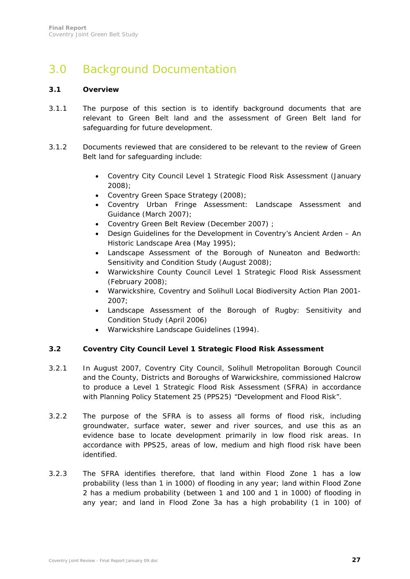# 3.0 Background Documentation

#### **3.1 Overview**

- 3.1.1 The purpose of this section is to identify background documents that are relevant to Green Belt land and the assessment of Green Belt land for safeguarding for future development.
- 3.1.2 Documents reviewed that are considered to be relevant to the review of Green Belt land for safeguarding include:
	- Coventry City Council Level 1 Strategic Flood Risk Assessment (January 2008);
	- Coventry Green Space Strategy (2008);
	- Coventry Urban Fringe Assessment: Landscape Assessment and Guidance (March 2007);
	- Coventry Green Belt Review (December 2007) ;
	- Design Guidelines for the Development in Coventry's Ancient Arden An Historic Landscape Area (May 1995);
	- Landscape Assessment of the Borough of Nuneaton and Bedworth: Sensitivity and Condition Study (August 2008);
	- Warwickshire County Council Level 1 Strategic Flood Risk Assessment (February 2008);
	- Warwickshire, Coventry and Solihull Local Biodiversity Action Plan 2001- 2007;
	- Landscape Assessment of the Borough of Rugby: Sensitivity and Condition Study (April 2006)
	- Warwickshire Landscape Guidelines (1994).

### **3.2 Coventry City Council Level 1 Strategic Flood Risk Assessment**

- 3.2.1 In August 2007, Coventry City Council, Solihull Metropolitan Borough Council and the County, Districts and Boroughs of Warwickshire, commissioned Halcrow to produce a Level 1 Strategic Flood Risk Assessment (SFRA) in accordance with Planning Policy Statement 25 (PPS25) "Development and Flood Risk".
- 3.2.2 The purpose of the SFRA is to assess all forms of flood risk, including groundwater, surface water, sewer and river sources, and use this as an evidence base to locate development primarily in low flood risk areas. In accordance with PPS25, areas of low, medium and high flood risk have been identified.
- 3.2.3 The SFRA identifies therefore, that land within Flood Zone 1 has a low probability (less than 1 in 1000) of flooding in any year; land within Flood Zone 2 has a medium probability (between 1 and 100 and 1 in 1000) of flooding in any year; and land in Flood Zone 3a has a high probability (1 in 100) of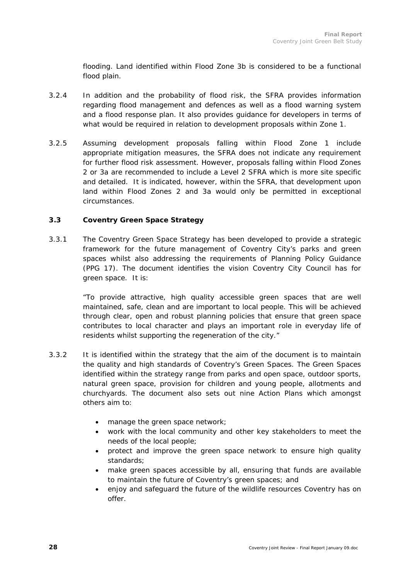flooding. Land identified within Flood Zone 3b is considered to be a functional flood plain.

- 3.2.4 In addition and the probability of flood risk, the SFRA provides information regarding flood management and defences as well as a flood warning system and a flood response plan. It also provides guidance for developers in terms of what would be required in relation to development proposals within Zone 1.
- 3.2.5 Assuming development proposals falling within Flood Zone 1 include appropriate mitigation measures, the SFRA does not indicate any requirement for further flood risk assessment. However, proposals falling within Flood Zones 2 or 3a are recommended to include a Level 2 SFRA which is more site specific and detailed. It is indicated, however, within the SFRA, that development upon land within Flood Zones 2 and 3a would only be permitted in exceptional circumstances.

#### **3.3 Coventry Green Space Strategy**

3.3.1 The Coventry Green Space Strategy has been developed to provide a strategic framework for the future management of Coventry City's parks and green spaces whilst also addressing the requirements of Planning Policy Guidance (PPG 17). The document identifies the vision Coventry City Council has for green space. It is:

> *"To provide attractive, high quality accessible green spaces that are well maintained, safe, clean and are important to local people. This will be achieved through clear, open and robust planning policies that ensure that green space contributes to local character and plays an important role in everyday life of residents whilst supporting the regeneration of the city."*

- 3.3.2 It is identified within the strategy that the aim of the document is to maintain the quality and high standards of Coventry's Green Spaces. The Green Spaces identified within the strategy range from parks and open space, outdoor sports, natural green space, provision for children and young people, allotments and churchyards. The document also sets out nine Action Plans which amongst others aim to:
	- manage the green space network;
	- work with the local community and other key stakeholders to meet the needs of the local people;
	- protect and improve the green space network to ensure high quality standards;
	- make green spaces accessible by all, ensuring that funds are available to maintain the future of Coventry's green spaces; and
	- enjoy and safeguard the future of the wildlife resources Coventry has on offer.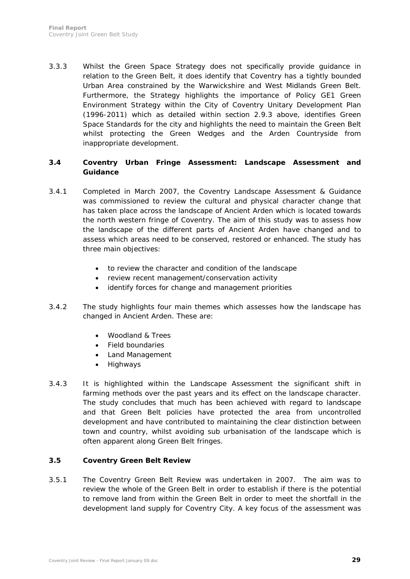3.3.3 Whilst the Green Space Strategy does not specifically provide guidance in relation to the Green Belt, it does identify that Coventry has a tightly bounded Urban Area constrained by the Warwickshire and West Midlands Green Belt. Furthermore, the Strategy highlights the importance of Policy GE1 Green Environment Strategy within the City of Coventry Unitary Development Plan (1996-2011) which as detailed within section 2.9.3 above, identifies Green Space Standards for the city and highlights the need to maintain the Green Belt whilst protecting the Green Wedges and the Arden Countryside from inappropriate development.

# **3.4 Coventry Urban Fringe Assessment: Landscape Assessment and Guidance**

- 3.4.1 Completed in March 2007, the Coventry Landscape Assessment & Guidance was commissioned to review the cultural and physical character change that has taken place across the landscape of Ancient Arden which is located towards the north western fringe of Coventry. The aim of this study was to assess how the landscape of the different parts of Ancient Arden have changed and to assess which areas need to be conserved, restored or enhanced. The study has three main objectives:
	- to review the character and condition of the landscape
	- review recent management/conservation activity
	- identify forces for change and management priorities
- 3.4.2 The study highlights four main themes which assesses how the landscape has changed in Ancient Arden. These are:
	- Woodland & Trees
	- Field boundaries
	- Land Management
	- Highways
- 3.4.3 It is highlighted within the Landscape Assessment the significant shift in farming methods over the past years and its effect on the landscape character. The study concludes that much has been achieved with regard to landscape and that Green Belt policies have protected the area from uncontrolled development and have contributed to maintaining the clear distinction between town and country, whilst avoiding sub urbanisation of the landscape which is often apparent along Green Belt fringes.

### **3.5 Coventry Green Belt Review**

3.5.1 The Coventry Green Belt Review was undertaken in 2007. The aim was to review the whole of the Green Belt in order to establish if there is the potential to remove land from within the Green Belt in order to meet the shortfall in the development land supply for Coventry City. A key focus of the assessment was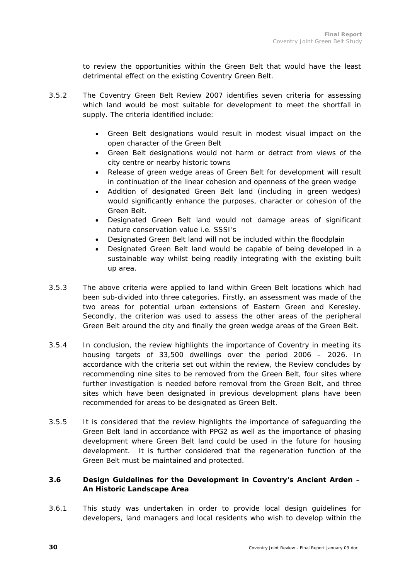to review the opportunities within the Green Belt that would have the least detrimental effect on the existing Coventry Green Belt.

- 3.5.2 The Coventry Green Belt Review 2007 identifies seven criteria for assessing which land would be most suitable for development to meet the shortfall in supply. The criteria identified include:
	- Green Belt designations would result in modest visual impact on the open character of the Green Belt
	- Green Belt designations would not harm or detract from views of the city centre or nearby historic towns
	- Release of green wedge areas of Green Belt for development will result in continuation of the linear cohesion and openness of the green wedge
	- Addition of designated Green Belt land (including in green wedges) would significantly enhance the purposes, character or cohesion of the Green Belt.
	- Designated Green Belt land would not damage areas of significant nature conservation value i.e. SSSI's
	- Designated Green Belt land will not be included within the floodplain
	- Designated Green Belt land would be capable of being developed in a sustainable way whilst being readily integrating with the existing built up area.
- 3.5.3 The above criteria were applied to land within Green Belt locations which had been sub-divided into three categories. Firstly, an assessment was made of the two areas for potential urban extensions of Eastern Green and Keresley. Secondly, the criterion was used to assess the other areas of the peripheral Green Belt around the city and finally the green wedge areas of the Green Belt.
- 3.5.4 In conclusion, the review highlights the importance of Coventry in meeting its housing targets of 33,500 dwellings over the period 2006 – 2026. In accordance with the criteria set out within the review, the Review concludes by recommending nine sites to be removed from the Green Belt, four sites where further investigation is needed before removal from the Green Belt, and three sites which have been designated in previous development plans have been recommended for areas to be designated as Green Belt.
- 3.5.5 It is considered that the review highlights the importance of safeguarding the Green Belt land in accordance with PPG2 as well as the importance of phasing development where Green Belt land could be used in the future for housing development. It is further considered that the regeneration function of the Green Belt must be maintained and protected.

# **3.6 Design Guidelines for the Development in Coventry's Ancient Arden – An Historic Landscape Area**

3.6.1 This study was undertaken in order to provide local design guidelines for developers, land managers and local residents who wish to develop within the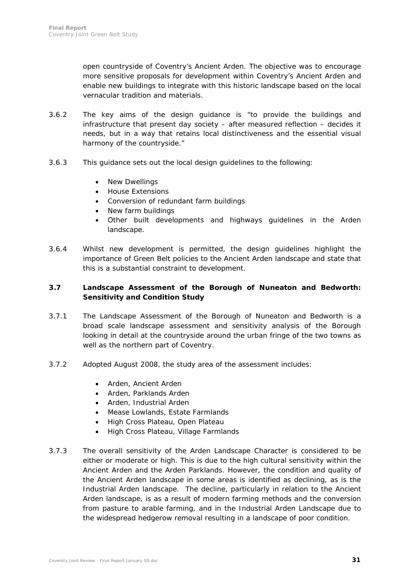open countryside of Coventry's Ancient Arden. The objective was to encourage more sensitive proposals for development within Coventry's Ancient Arden and enable new buildings to integrate with this historic landscape based on the local vernacular tradition and materials.

- 3.6.2 The key aims of the design guidance is "to provide the buildings and infrastructure that present day society – after measured reflection – decides it needs, but in a way that retains local distinctiveness and the essential visual harmony of the countryside."
- 3.6.3 This guidance sets out the local design guidelines to the following:
	- New Dwellings
	- House Extensions
	- Conversion of redundant farm buildings
	- New farm buildings
	- Other built developments and highways guidelines in the Arden landscape.
- 3.6.4 Whilst new development is permitted, the design guidelines highlight the importance of Green Belt policies to the Ancient Arden landscape and state that this is a substantial constraint to development.

### **3.7 Landscape Assessment of the Borough of Nuneaton and Bedworth: Sensitivity and Condition Study**

- 3.7.1 The Landscape Assessment of the Borough of Nuneaton and Bedworth is a broad scale landscape assessment and sensitivity analysis of the Borough looking in detail at the countryside around the urban fringe of the two towns as well as the northern part of Coventry.
- 3.7.2 Adopted August 2008, the study area of the assessment includes:
	- Arden, Ancient Arden
	- Arden, Parklands Arden
	- Arden, Industrial Arden
	- Mease Lowlands, Estate Farmlands
	- High Cross Plateau, Open Plateau
	- High Cross Plateau, Village Farmlands
- 3.7.3 The overall sensitivity of the Arden Landscape Character is considered to be either or moderate or high. This is due to the high cultural sensitivity within the Ancient Arden and the Arden Parklands. However, the condition and quality of the Ancient Arden landscape in some areas is identified as declining, as is the Industrial Arden landscape. The decline, particularly in relation to the Ancient Arden landscape, is as a result of modern farming methods and the conversion from pasture to arable farming, and in the Industrial Arden Landscape due to the widespread hedgerow removal resulting in a landscape of poor condition.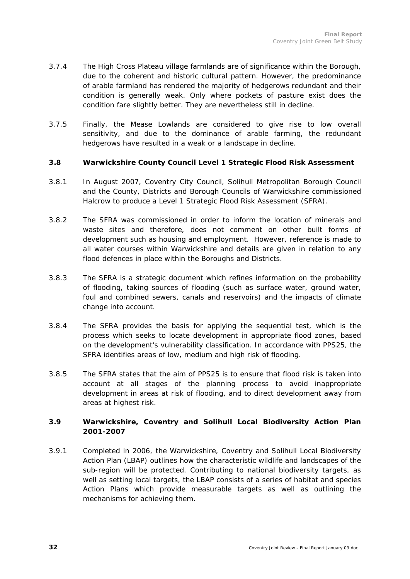- 3.7.4 The High Cross Plateau village farmlands are of significance within the Borough, due to the coherent and historic cultural pattern. However, the predominance of arable farmland has rendered the majority of hedgerows redundant and their condition is generally weak. Only where pockets of pasture exist does the condition fare slightly better. They are nevertheless still in decline.
- 3.7.5 Finally, the Mease Lowlands are considered to give rise to low overall sensitivity, and due to the dominance of arable farming, the redundant hedgerows have resulted in a weak or a landscape in decline.

#### **3.8 Warwickshire County Council Level 1 Strategic Flood Risk Assessment**

- 3.8.1 In August 2007, Coventry City Council, Solihull Metropolitan Borough Council and the County, Districts and Borough Councils of Warwickshire commissioned Halcrow to produce a Level 1 Strategic Flood Risk Assessment (SFRA).
- 3.8.2 The SFRA was commissioned in order to inform the location of minerals and waste sites and therefore, does not comment on other built forms of development such as housing and employment. However, reference is made to all water courses within Warwickshire and details are given in relation to any flood defences in place within the Boroughs and Districts.
- 3.8.3 The SFRA is a strategic document which refines information on the probability of flooding, taking sources of flooding (such as surface water, ground water, foul and combined sewers, canals and reservoirs) and the impacts of climate change into account.
- 3.8.4 The SFRA provides the basis for applying the sequential test, which is the process which seeks to locate development in appropriate flood zones, based on the development's vulnerability classification. In accordance with PPS25, the SFRA identifies areas of low, medium and high risk of flooding.
- 3.8.5 The SFRA states that the aim of PPS25 is to ensure that flood risk is taken into account at all stages of the planning process to avoid inappropriate development in areas at risk of flooding, and to direct development away from areas at highest risk.

### **3.9 Warwickshire, Coventry and Solihull Local Biodiversity Action Plan 2001-2007**

3.9.1 Completed in 2006, the Warwickshire, Coventry and Solihull Local Biodiversity Action Plan (LBAP) outlines how the characteristic wildlife and landscapes of the sub-region will be protected. Contributing to national biodiversity targets, as well as setting local targets, the LBAP consists of a series of habitat and species Action Plans which provide measurable targets as well as outlining the mechanisms for achieving them.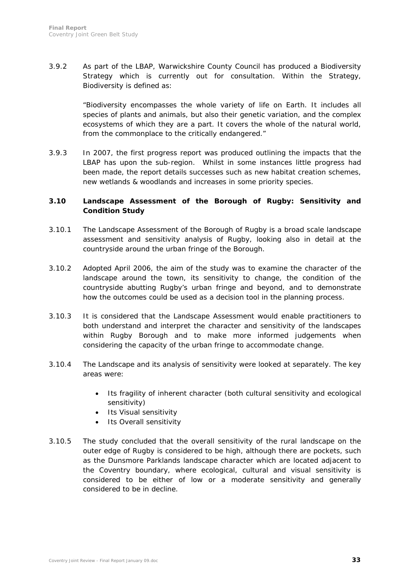3.9.2 As part of the LBAP, Warwickshire County Council has produced a Biodiversity Strategy which is currently out for consultation. Within the Strategy, Biodiversity is defined as:

> *"Biodiversity encompasses the whole variety of life on Earth. It includes all species of plants and animals, but also their genetic variation, and the complex ecosystems of which they are a part. It covers the whole of the natural world, from the commonplace to the critically endangered."*

3.9.3 In 2007, the first progress report was produced outlining the impacts that the LBAP has upon the sub-region. Whilst in some instances little progress had been made, the report details successes such as new habitat creation schemes, new wetlands & woodlands and increases in some priority species.

#### **3.10 Landscape Assessment of the Borough of Rugby: Sensitivity and Condition Study**

- 3.10.1 The Landscape Assessment of the Borough of Rugby is a broad scale landscape assessment and sensitivity analysis of Rugby, looking also in detail at the countryside around the urban fringe of the Borough.
- 3.10.2 Adopted April 2006, the aim of the study was to examine the character of the landscape around the town, its sensitivity to change, the condition of the countryside abutting Rugby's urban fringe and beyond, and to demonstrate how the outcomes could be used as a decision tool in the planning process.
- 3.10.3 It is considered that the Landscape Assessment would enable practitioners to both understand and interpret the character and sensitivity of the landscapes within Rugby Borough and to make more informed judgements when considering the capacity of the urban fringe to accommodate change.
- 3.10.4 The Landscape and its analysis of sensitivity were looked at separately. The key areas were:
	- Its fragility of inherent character (both cultural sensitivity and ecological sensitivity)
	- Its Visual sensitivity
	- Its Overall sensitivity
- 3.10.5 The study concluded that the overall sensitivity of the rural landscape on the outer edge of Rugby is considered to be high, although there are pockets, such as the Dunsmore Parklands landscape character which are located adjacent to the Coventry boundary, where ecological, cultural and visual sensitivity is considered to be either of low or a moderate sensitivity and generally considered to be in decline.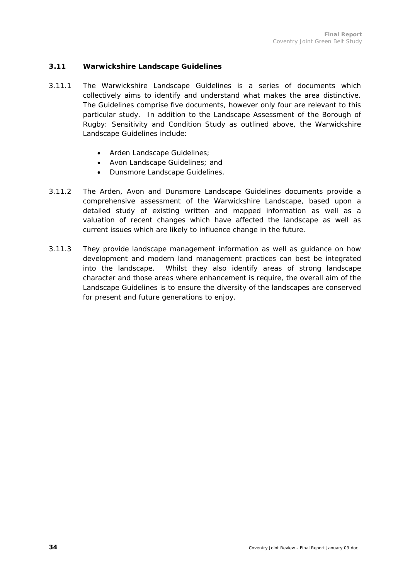#### **3.11 Warwickshire Landscape Guidelines**

- 3.11.1 The Warwickshire Landscape Guidelines is a series of documents which collectively aims to identify and understand what makes the area distinctive. The Guidelines comprise five documents, however only four are relevant to this particular study. In addition to the Landscape Assessment of the Borough of Rugby: Sensitivity and Condition Study as outlined above, the Warwickshire Landscape Guidelines include:
	- Arden Landscape Guidelines;
	- Avon Landscape Guidelines; and
	- Dunsmore Landscape Guidelines.
- 3.11.2 The Arden, Avon and Dunsmore Landscape Guidelines documents provide a comprehensive assessment of the Warwickshire Landscape, based upon a detailed study of existing written and mapped information as well as a valuation of recent changes which have affected the landscape as well as current issues which are likely to influence change in the future.
- 3.11.3 They provide landscape management information as well as guidance on how development and modern land management practices can best be integrated into the landscape. Whilst they also identify areas of strong landscape character and those areas where enhancement is require, the overall aim of the Landscape Guidelines is to ensure the diversity of the landscapes are conserved for present and future generations to enjoy.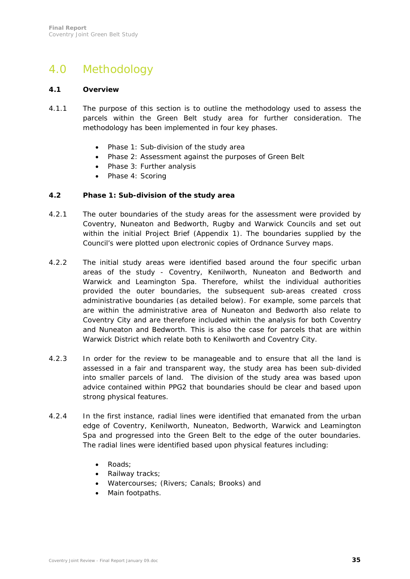# 4.0 Methodology

#### **4.1 Overview**

- 4.1.1 The purpose of this section is to outline the methodology used to assess the parcels within the Green Belt study area for further consideration. The methodology has been implemented in four key phases.
	- Phase 1: Sub-division of the study area
	- Phase 2: Assessment against the purposes of Green Belt
	- Phase 3: Further analysis
	- Phase 4: Scoring

#### **4.2 Phase 1: Sub-division of the study area**

- 4.2.1 The outer boundaries of the study areas for the assessment were provided by Coventry, Nuneaton and Bedworth, Rugby and Warwick Councils and set out within the initial Project Brief (Appendix 1). The boundaries supplied by the Council's were plotted upon electronic copies of Ordnance Survey maps.
- 4.2.2 The initial study areas were identified based around the four specific urban areas of the study - Coventry, Kenilworth, Nuneaton and Bedworth and Warwick and Leamington Spa. Therefore, whilst the individual authorities provided the outer boundaries, the subsequent sub-areas created cross administrative boundaries (as detailed below). For example, some parcels that are within the administrative area of Nuneaton and Bedworth also relate to Coventry City and are therefore included within the analysis for both Coventry and Nuneaton and Bedworth. This is also the case for parcels that are within Warwick District which relate both to Kenilworth and Coventry City.
- 4.2.3 In order for the review to be manageable and to ensure that all the land is assessed in a fair and transparent way, the study area has been sub-divided into smaller parcels of land. The division of the study area was based upon advice contained within PPG2 that boundaries should be clear and based upon strong physical features.
- 4.2.4 In the first instance, radial lines were identified that emanated from the urban edge of Coventry, Kenilworth, Nuneaton, Bedworth, Warwick and Leamington Spa and progressed into the Green Belt to the edge of the outer boundaries. The radial lines were identified based upon physical features including:
	- Roads;
	- Railway tracks;
	- Watercourses; (Rivers; Canals; Brooks) and
	- Main footpaths.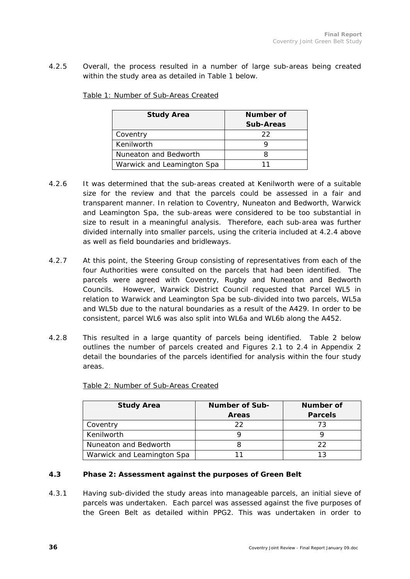4.2.5 Overall, the process resulted in a number of large sub-areas being created within the study area as detailed in Table 1 below.

| <b>Study Area</b>          | Number of |  |
|----------------------------|-----------|--|
|                            | Sub-Areas |  |
| Coventry                   | フフ        |  |
| Kenilworth                 |           |  |
| Nuneaton and Bedworth      |           |  |
| Warwick and Leamington Spa |           |  |

Table 1: Number of Sub-Areas Created

- 4.2.6 It was determined that the sub-areas created at Kenilworth were of a suitable size for the review and that the parcels could be assessed in a fair and transparent manner. In relation to Coventry, Nuneaton and Bedworth, Warwick and Leamington Spa, the sub-areas were considered to be too substantial in size to result in a meaningful analysis. Therefore, each sub-area was further divided internally into smaller parcels, using the criteria included at 4.2.4 above as well as field boundaries and bridleways.
- 4.2.7 At this point, the Steering Group consisting of representatives from each of the four Authorities were consulted on the parcels that had been identified. The parcels were agreed with Coventry, Rugby and Nuneaton and Bedworth Councils. However, Warwick District Council requested that Parcel WL5 in relation to Warwick and Leamington Spa be sub-divided into two parcels, WL5a and WL5b due to the natural boundaries as a result of the A429. In order to be consistent, parcel WL6 was also split into WL6a and WL6b along the A452.
- 4.2.8 This resulted in a large quantity of parcels being identified. Table 2 below outlines the number of parcels created and Figures 2.1 to 2.4 in Appendix 2 detail the boundaries of the parcels identified for analysis within the four study areas.

| <b>Study Area</b>          | <b>Number of Sub-</b> | Number of      |
|----------------------------|-----------------------|----------------|
|                            | <b>Areas</b>          | <b>Parcels</b> |
| Coventry                   | フフ                    | 73             |
| Kenilworth                 |                       |                |
| Nuneaton and Bedworth      |                       | 22             |
| Warwick and Leamington Spa |                       | 1 ว            |

Table 2: Number of Sub-Areas Created

### **4.3 Phase 2: Assessment against the purposes of Green Belt**

4.3.1 Having sub-divided the study areas into manageable parcels, an initial sieve of parcels was undertaken. Each parcel was assessed against the five purposes of the Green Belt as detailed within PPG2. This was undertaken in order to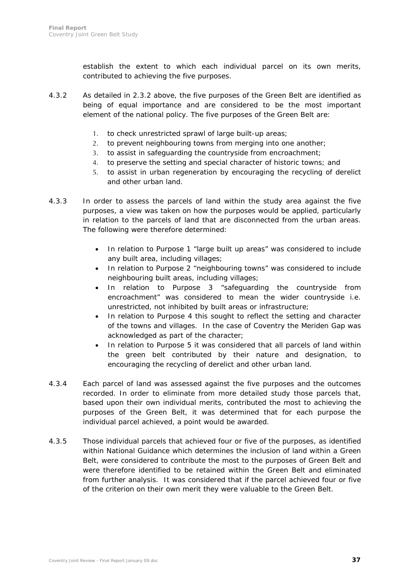establish the extent to which each individual parcel on its own merits, contributed to achieving the five purposes.

- 4.3.2 As detailed in 2.3.2 above, the five purposes of the Green Belt are identified as being of equal importance and are considered to be the most important element of the national policy. The five purposes of the Green Belt are:
	- 1. to check unrestricted sprawl of large built-up areas;
	- 2. to prevent neighbouring towns from merging into one another;
	- 3. to assist in safeguarding the countryside from encroachment;
	- 4. to preserve the setting and special character of historic towns; and
	- 5. to assist in urban regeneration by encouraging the recycling of derelict and other urban land.
- 4.3.3 In order to assess the parcels of land within the study area against the five purposes, a view was taken on how the purposes would be applied, particularly in relation to the parcels of land that are disconnected from the urban areas. The following were therefore determined:
	- In relation to Purpose 1 "large built up areas" was considered to include any built area, including villages;
	- In relation to Purpose 2 "neighbouring towns" was considered to include neighbouring built areas, including villages;
	- In relation to Purpose 3 "safeguarding the countryside from encroachment" was considered to mean the wider countryside i.e. unrestricted, not inhibited by built areas or infrastructure;
	- In relation to Purpose 4 this sought to reflect the setting and character of the towns and villages. In the case of Coventry the Meriden Gap was acknowledged as part of the character;
	- In relation to Purpose 5 it was considered that all parcels of land within the green belt contributed by their nature and designation, to encouraging the recycling of derelict and other urban land.
- 4.3.4 Each parcel of land was assessed against the five purposes and the outcomes recorded. In order to eliminate from more detailed study those parcels that, based upon their own individual merits, contributed the most to achieving the purposes of the Green Belt, it was determined that for each purpose the individual parcel achieved, a point would be awarded.
- 4.3.5 Those individual parcels that achieved four or five of the purposes, as identified within National Guidance which determines the inclusion of land within a Green Belt, were considered to contribute the most to the purposes of Green Belt and were therefore identified to be retained within the Green Belt and eliminated from further analysis. It was considered that if the parcel achieved four or five of the criterion on their own merit they were valuable to the Green Belt.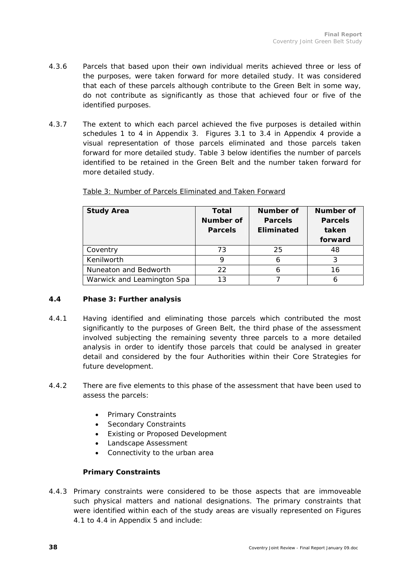- 4.3.6 Parcels that based upon their own individual merits achieved three or less of the purposes, were taken forward for more detailed study. It was considered that each of these parcels although contribute to the Green Belt in some way, do not contribute as significantly as those that achieved four or five of the identified purposes.
- 4.3.7 The extent to which each parcel achieved the five purposes is detailed within schedules 1 to 4 in Appendix 3. Figures 3.1 to 3.4 in Appendix 4 provide a visual representation of those parcels eliminated and those parcels taken forward for more detailed study. Table 3 below identifies the number of parcels identified to be retained in the Green Belt and the number taken forward for more detailed study.

| <b>Study Area</b>          | Total          | Number of         | Number of      |
|----------------------------|----------------|-------------------|----------------|
|                            | Number of      | <b>Parcels</b>    | <b>Parcels</b> |
|                            | <b>Parcels</b> | <b>Eliminated</b> | taken          |
|                            |                |                   | forward        |
| Coventry                   | 73             | 25                | 48             |
| Kenilworth                 |                |                   |                |
| Nuneaton and Bedworth      | 22             |                   | 16             |
| Warwick and Leamington Spa | 13             |                   |                |

Table 3: Number of Parcels Eliminated and Taken Forward

### **4.4 Phase 3: Further analysis**

- 4.4.1 Having identified and eliminating those parcels which contributed the most significantly to the purposes of Green Belt, the third phase of the assessment involved subjecting the remaining seventy three parcels to a more detailed analysis in order to identify those parcels that could be analysed in greater detail and considered by the four Authorities within their Core Strategies for future development.
- 4.4.2 There are five elements to this phase of the assessment that have been used to assess the parcels:
	- Primary Constraints
	- Secondary Constraints
	- Existing or Proposed Development
	- Landscape Assessment
	- Connectivity to the urban area

# **Primary Constraints**

4.4.3 Primary constraints were considered to be those aspects that are immoveable such physical matters and national designations. The primary constraints that were identified within each of the study areas are visually represented on Figures 4.1 to 4.4 in Appendix 5 and include: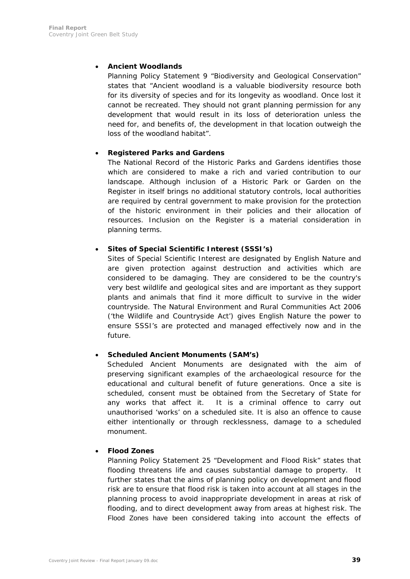### • **Ancient Woodlands**

Planning Policy Statement 9 "Biodiversity and Geological Conservation" states that "Ancient woodland is a valuable biodiversity resource both for its diversity of species and for its longevity as woodland. Once lost it cannot be recreated. They should not grant planning permission for any development that would result in its loss of deterioration unless the need for, and benefits of, the development in that location outweigh the loss of the woodland habitat".

### • **Registered Parks and Gardens**

The National Record of the Historic Parks and Gardens identifies those which are considered to make a rich and varied contribution to our landscape. Although inclusion of a Historic Park or Garden on the Register in itself brings no additional statutory controls, local authorities are required by central government to make provision for the protection of the historic environment in their policies and their allocation of resources. Inclusion on the Register is a material consideration in planning terms.

### • **Sites of Special Scientific Interest (SSSI's)**

Sites of Special Scientific Interest are designated by English Nature and are given protection against destruction and activities which are considered to be damaging. They are considered to be the country's very best wildlife and geological sites and are important as they support plants and animals that find it more difficult to survive in the wider countryside. The Natural Environment and Rural Communities Act 2006 ('the Wildlife and Countryside Act') gives English Nature the power to ensure SSSI's are protected and managed effectively now and in the future.

### • **Scheduled Ancient Monuments (SAM's)**

Scheduled Ancient Monuments are designated with the aim of preserving significant examples of the archaeological resource for the educational and cultural benefit of future generations. Once a site is scheduled, consent must be obtained from the Secretary of State for any works that affect it. It is a criminal offence to carry out unauthorised 'works' on a scheduled site. It is also an offence to cause either intentionally or through recklessness, damage to a scheduled monument.

# • **Flood Zones**

Planning Policy Statement 25 "Development and Flood Risk" states that flooding threatens life and causes substantial damage to property. It further states that the aims of planning policy on development and flood risk are to ensure that flood risk is taken into account at all stages in the planning process to avoid inappropriate development in areas at risk of flooding, and to direct development away from areas at highest risk. The Flood Zones have been considered taking into account the effects of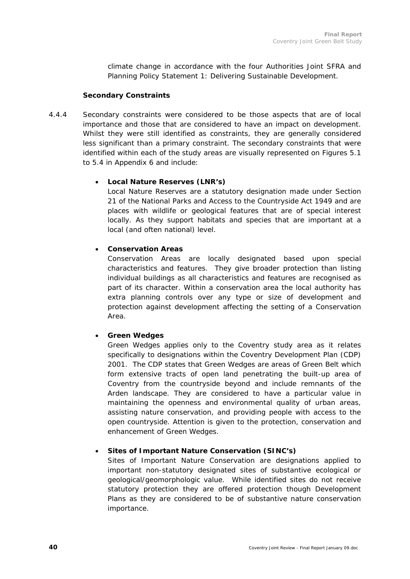climate change in accordance with the four Authorities Joint SFRA and Planning Policy Statement 1: Delivering Sustainable Development.

#### **Secondary Constraints**

4.4.4 Secondary constraints were considered to be those aspects that are of local importance and those that are considered to have an impact on development. Whilst they were still identified as constraints, they are generally considered less significant than a primary constraint. The secondary constraints that were identified within each of the study areas are visually represented on Figures 5.1 to 5.4 in Appendix 6 and include:

#### • **Local Nature Reserves (LNR's)**

Local Nature Reserves are a statutory designation made under Section 21 of the National Parks and Access to the Countryside Act 1949 and are places with wildlife or geological features that are of special interest locally. As they support habitats and species that are important at a local (and often national) level.

# • **Conservation Areas**

Conservation Areas are locally designated based upon special characteristics and features. They give broader protection than listing individual buildings as all characteristics and features are recognised as part of its character. Within a conservation area the local authority has extra planning controls over any type or size of development and protection against development affecting the setting of a Conservation Area.

### • **Green Wedges**

Green Wedges applies only to the Coventry study area as it relates specifically to designations within the Coventry Development Plan (CDP) 2001. The CDP states that Green Wedges are areas of Green Belt which form extensive tracts of open land penetrating the built-up area of Coventry from the countryside beyond and include remnants of the Arden landscape. They are considered to have a particular value in maintaining the openness and environmental quality of urban areas, assisting nature conservation, and providing people with access to the open countryside. Attention is given to the protection, conservation and enhancement of Green Wedges.

### • **Sites of Important Nature Conservation (SINC's)**

Sites of Important Nature Conservation are designations applied to important non-statutory designated sites of substantive ecological or geological/geomorphologic value. While identified sites do not receive statutory protection they are offered protection though Development Plans as they are considered to be of substantive nature conservation importance.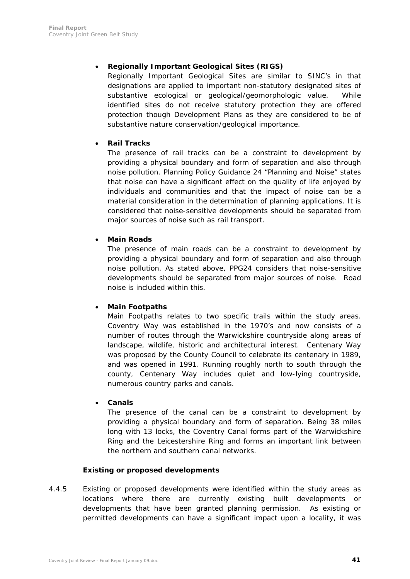# • **Regionally Important Geological Sites (RIGS)**

Regionally Important Geological Sites are similar to SINC's in that designations are applied to important non-statutory designated sites of substantive ecological or geological/geomorphologic value. While identified sites do not receive statutory protection they are offered protection though Development Plans as they are considered to be of substantive nature conservation/geological importance.

### • **Rail Tracks**

The presence of rail tracks can be a constraint to development by providing a physical boundary and form of separation and also through noise pollution. Planning Policy Guidance 24 "Planning and Noise" states that noise can have a significant effect on the quality of life enjoyed by individuals and communities and that the impact of noise can be a material consideration in the determination of planning applications. It is considered that noise-sensitive developments should be separated from major sources of noise such as rail transport.

#### • **Main Roads**

The presence of main roads can be a constraint to development by providing a physical boundary and form of separation and also through noise pollution. As stated above, PPG24 considers that noise-sensitive developments should be separated from major sources of noise. Road noise is included within this.

### • **Main Footpaths**

Main Footpaths relates to two specific trails within the study areas. Coventry Way was established in the 1970's and now consists of a number of routes through the Warwickshire countryside along areas of landscape, wildlife, historic and architectural interest. Centenary Way was proposed by the County Council to celebrate its centenary in 1989, and was opened in 1991. Running roughly north to south through the county, Centenary Way includes quiet and low-lying countryside, numerous country parks and canals.

• **Canals** 

The presence of the canal can be a constraint to development by providing a physical boundary and form of separation. Being 38 miles long with 13 locks, the Coventry Canal forms part of the Warwickshire Ring and the Leicestershire Ring and forms an important link between the northern and southern canal networks.

#### **Existing or proposed developments**

4.4.5 Existing or proposed developments were identified within the study areas as locations where there are currently existing built developments or developments that have been granted planning permission. As existing or permitted developments can have a significant impact upon a locality, it was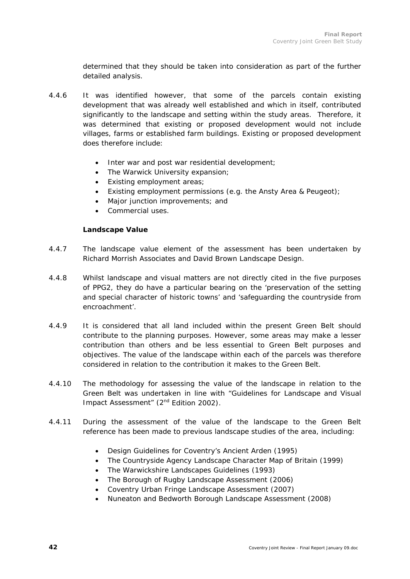determined that they should be taken into consideration as part of the further detailed analysis.

- 4.4.6 It was identified however, that some of the parcels contain existing development that was already well established and which in itself, contributed significantly to the landscape and setting within the study areas. Therefore, it was determined that existing or proposed development would not include villages, farms or established farm buildings. Existing or proposed development does therefore include:
	- Inter war and post war residential development;
	- The Warwick University expansion;
	- Existing employment areas;
	- Existing employment permissions (e.g. the Ansty Area & Peugeot);
	- Major junction improvements; and
	- Commercial uses.

#### **Landscape Value**

- 4.4.7 The landscape value element of the assessment has been undertaken by Richard Morrish Associates and David Brown Landscape Design.
- 4.4.8 Whilst landscape and visual matters are not directly cited in the five purposes of PPG2, they do have a particular bearing on the 'preservation of the setting and special character of historic towns' and 'safeguarding the countryside from encroachment'.
- 4.4.9 It is considered that all land included within the present Green Belt should contribute to the planning purposes. However, some areas may make a lesser contribution than others and be less essential to Green Belt purposes and objectives. The value of the landscape within each of the parcels was therefore considered in relation to the contribution it makes to the Green Belt.
- 4.4.10 The methodology for assessing the value of the landscape in relation to the Green Belt was undertaken in line with "Guidelines for Landscape and Visual Impact Assessment" (2<sup>nd</sup> Edition 2002).
- 4.4.11 During the assessment of the value of the landscape to the Green Belt reference has been made to previous landscape studies of the area, including:
	- Design Guidelines for Coventry's Ancient Arden (1995)
	- The Countryside Agency Landscape Character Map of Britain (1999)
	- The Warwickshire Landscapes Guidelines (1993)
	- The Borough of Rugby Landscape Assessment (2006)
	- Coventry Urban Fringe Landscape Assessment (2007)
	- Nuneaton and Bedworth Borough Landscape Assessment (2008)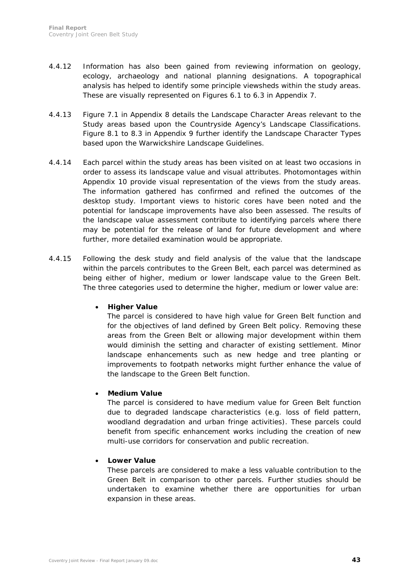- 4.4.12 Information has also been gained from reviewing information on geology, ecology, archaeology and national planning designations. A topographical analysis has helped to identify some principle viewsheds within the study areas. These are visually represented on Figures 6.1 to 6.3 in Appendix 7.
- 4.4.13 Figure 7.1 in Appendix 8 details the Landscape Character Areas relevant to the Study areas based upon the Countryside Agency's Landscape Classifications. Figure 8.1 to 8.3 in Appendix 9 further identify the Landscape Character Types based upon the Warwickshire Landscape Guidelines.
- 4.4.14 Each parcel within the study areas has been visited on at least two occasions in order to assess its landscape value and visual attributes. Photomontages within Appendix 10 provide visual representation of the views from the study areas. The information gathered has confirmed and refined the outcomes of the desktop study. Important views to historic cores have been noted and the potential for landscape improvements have also been assessed. The results of the landscape value assessment contribute to identifying parcels where there may be potential for the release of land for future development and where further, more detailed examination would be appropriate.
- 4.4.15 Following the desk study and field analysis of the value that the landscape within the parcels contributes to the Green Belt, each parcel was determined as being either of higher, medium or lower landscape value to the Green Belt. The three categories used to determine the higher, medium or lower value are:

### • **Higher Value**

The parcel is considered to have high value for Green Belt function and for the objectives of land defined by Green Belt policy. Removing these areas from the Green Belt or allowing major development within them would diminish the setting and character of existing settlement. Minor landscape enhancements such as new hedge and tree planting or improvements to footpath networks might further enhance the value of the landscape to the Green Belt function.

### • **Medium Value**

The parcel is considered to have medium value for Green Belt function due to degraded landscape characteristics (e.g. loss of field pattern, woodland degradation and urban fringe activities). These parcels could benefit from specific enhancement works including the creation of new multi-use corridors for conservation and public recreation.

#### • **Lower Value**

These parcels are considered to make a less valuable contribution to the Green Belt in comparison to other parcels. Further studies should be undertaken to examine whether there are opportunities for urban expansion in these areas.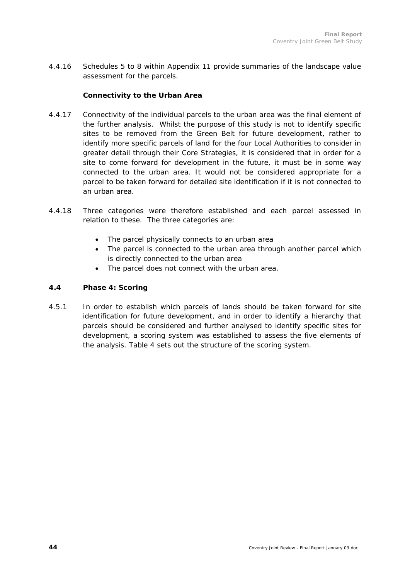4.4.16 Schedules 5 to 8 within Appendix 11 provide summaries of the landscape value assessment for the parcels.

#### **Connectivity to the Urban Area**

- 4.4.17 Connectivity of the individual parcels to the urban area was the final element of the further analysis. Whilst the purpose of this study is not to identify specific sites to be removed from the Green Belt for future development, rather to identify more specific parcels of land for the four Local Authorities to consider in greater detail through their Core Strategies, it is considered that in order for a site to come forward for development in the future, it must be in some way connected to the urban area. It would not be considered appropriate for a parcel to be taken forward for detailed site identification if it is not connected to an urban area.
- 4.4.18 Three categories were therefore established and each parcel assessed in relation to these. The three categories are:
	- The parcel physically connects to an urban area
	- The parcel is connected to the urban area through another parcel which is directly connected to the urban area
	- The parcel does not connect with the urban area.

#### **4.4 Phase 4: Scoring**

4.5.1 In order to establish which parcels of lands should be taken forward for site identification for future development, and in order to identify a hierarchy that parcels should be considered and further analysed to identify specific sites for development, a scoring system was established to assess the five elements of the analysis. Table 4 sets out the structure of the scoring system.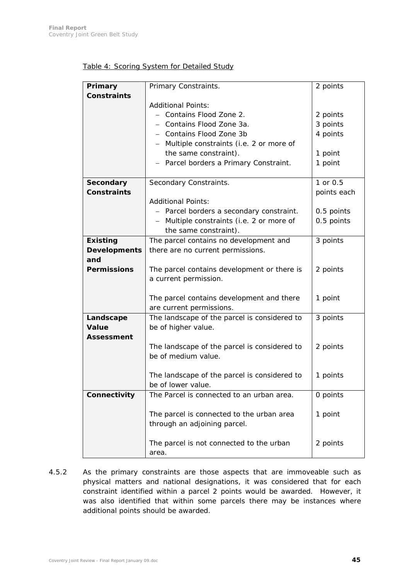|  |  | Table 4: Scoring System for Detailed Study |  |
|--|--|--------------------------------------------|--|
|  |  |                                            |  |

| Primary             | Primary Constraints.                                                | 2 points    |
|---------------------|---------------------------------------------------------------------|-------------|
| <b>Constraints</b>  |                                                                     |             |
|                     | <b>Additional Points:</b>                                           |             |
|                     | - Contains Flood Zone 2.                                            | 2 points    |
|                     | - Contains Flood Zone 3a.                                           |             |
|                     |                                                                     | 3 points    |
|                     | - Contains Flood Zone 3b                                            | 4 points    |
|                     | - Multiple constraints (i.e. 2 or more of                           |             |
|                     | the same constraint).                                               | 1 point     |
|                     | - Parcel borders a Primary Constraint.                              | 1 point     |
|                     |                                                                     |             |
| Secondary           | Secondary Constraints.                                              | 1 or 0.5    |
| <b>Constraints</b>  |                                                                     | points each |
|                     | <b>Additional Points:</b>                                           |             |
|                     | - Parcel borders a secondary constraint.                            | 0.5 points  |
|                     | Multiple constraints (i.e. 2 or more of<br>$\overline{\phantom{0}}$ | 0.5 points  |
|                     | the same constraint).                                               |             |
| <b>Existing</b>     | The parcel contains no development and                              | 3 points    |
| <b>Developments</b> | there are no current permissions.                                   |             |
| and                 |                                                                     |             |
| <b>Permissions</b>  | The parcel contains development or there is                         | 2 points    |
|                     | a current permission.                                               |             |
|                     |                                                                     |             |
|                     | The parcel contains development and there                           | 1 point     |
|                     | are current permissions.                                            |             |
| Landscape           | The landscape of the parcel is considered to                        | 3 points    |
| <b>Value</b>        | be of higher value.                                                 |             |
| <b>Assessment</b>   |                                                                     |             |
|                     | The landscape of the parcel is considered to                        | 2 points    |
|                     | be of medium value.                                                 |             |
|                     |                                                                     |             |
|                     |                                                                     |             |
|                     | The landscape of the parcel is considered to                        | 1 points    |
|                     | be of lower value.                                                  |             |
| Connectivity        | The Parcel is connected to an urban area.                           | 0 points    |
|                     |                                                                     |             |
|                     | The parcel is connected to the urban area                           | 1 point     |
|                     | through an adjoining parcel.                                        |             |
|                     |                                                                     |             |
|                     | The parcel is not connected to the urban                            | 2 points    |
|                     | area.                                                               |             |

4.5.2 As the primary constraints are those aspects that are immoveable such as physical matters and national designations, it was considered that for each constraint identified within a parcel 2 points would be awarded. However, it was also identified that within some parcels there may be instances where additional points should be awarded.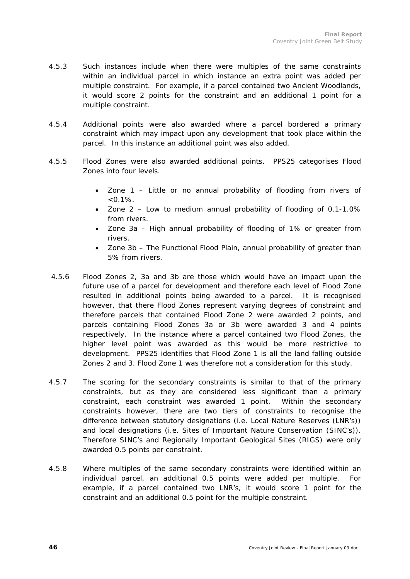- 4.5.3 Such instances include when there were multiples of the same constraints within an individual parcel in which instance an extra point was added per multiple constraint. For example, if a parcel contained two Ancient Woodlands, it would score 2 points for the constraint and an additional 1 point for a multiple constraint.
- 4.5.4 Additional points were also awarded where a parcel bordered a primary constraint which may impact upon any development that took place within the parcel. In this instance an additional point was also added.
- 4.5.5 Flood Zones were also awarded additional points. PPS25 categorises Flood Zones into four levels.
	- Zone 1 Little or no annual probability of flooding from rivers of  $< 0.1\%$ .
	- Zone 2 Low to medium annual probability of flooding of 0.1-1.0% from rivers.
	- Zone 3a High annual probability of flooding of 1% or greater from rivers.
	- Zone 3b The Functional Flood Plain, annual probability of greater than 5% from rivers.
- 4.5.6 Flood Zones 2, 3a and 3b are those which would have an impact upon the future use of a parcel for development and therefore each level of Flood Zone resulted in additional points being awarded to a parcel. It is recognised however, that there Flood Zones represent varying degrees of constraint and therefore parcels that contained Flood Zone 2 were awarded 2 points, and parcels containing Flood Zones 3a or 3b were awarded 3 and 4 points respectively. In the instance where a parcel contained two Flood Zones, the higher level point was awarded as this would be more restrictive to development. PPS25 identifies that Flood Zone 1 is all the land falling outside Zones 2 and 3. Flood Zone 1 was therefore not a consideration for this study.
- 4.5.7 The scoring for the secondary constraints is similar to that of the primary constraints, but as they are considered less significant than a primary constraint, each constraint was awarded 1 point. Within the secondary constraints however, there are two tiers of constraints to recognise the difference between statutory designations (i.e. Local Nature Reserves (LNR's)) and local designations (i.e. Sites of Important Nature Conservation (SINC's)). Therefore SINC's and Regionally Important Geological Sites (RIGS) were only awarded 0.5 points per constraint.
- 4.5.8 Where multiples of the same secondary constraints were identified within an individual parcel, an additional 0.5 points were added per multiple. For example, if a parcel contained two LNR's, it would score 1 point for the constraint and an additional 0.5 point for the multiple constraint.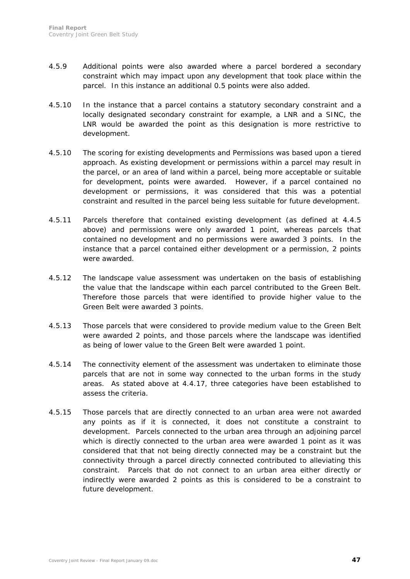- 4.5.9 Additional points were also awarded where a parcel bordered a secondary constraint which may impact upon any development that took place within the parcel. In this instance an additional 0.5 points were also added.
- 4.5.10 In the instance that a parcel contains a statutory secondary constraint and a locally designated secondary constraint for example, a LNR and a SINC, the LNR would be awarded the point as this designation is more restrictive to development.
- 4.5.10 The scoring for existing developments and Permissions was based upon a tiered approach. As existing development or permissions within a parcel may result in the parcel, or an area of land within a parcel, being more acceptable or suitable for development, points were awarded. However, if a parcel contained no development or permissions, it was considered that this was a potential constraint and resulted in the parcel being less suitable for future development.
- 4.5.11 Parcels therefore that contained existing development (as defined at 4.4.5 above) and permissions were only awarded 1 point, whereas parcels that contained no development and no permissions were awarded 3 points. In the instance that a parcel contained either development or a permission, 2 points were awarded.
- 4.5.12 The landscape value assessment was undertaken on the basis of establishing the value that the landscape within each parcel contributed to the Green Belt. Therefore those parcels that were identified to provide higher value to the Green Belt were awarded 3 points.
- 4.5.13 Those parcels that were considered to provide medium value to the Green Belt were awarded 2 points, and those parcels where the landscape was identified as being of lower value to the Green Belt were awarded 1 point.
- 4.5.14 The connectivity element of the assessment was undertaken to eliminate those parcels that are not in some way connected to the urban forms in the study areas. As stated above at 4.4.17, three categories have been established to assess the criteria.
- 4.5.15 Those parcels that are directly connected to an urban area were not awarded any points as if it is connected, it does not constitute a constraint to development. Parcels connected to the urban area through an adjoining parcel which is directly connected to the urban area were awarded 1 point as it was considered that that not being directly connected may be a constraint but the connectivity through a parcel directly connected contributed to alleviating this constraint. Parcels that do not connect to an urban area either directly or indirectly were awarded 2 points as this is considered to be a constraint to future development.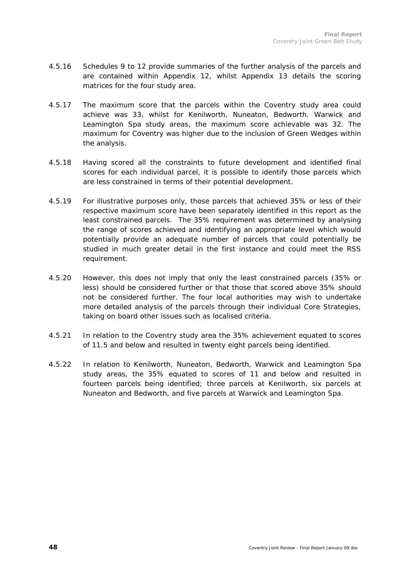- 4.5.16 Schedules 9 to 12 provide summaries of the further analysis of the parcels and are contained within Appendix 12, whilst Appendix 13 details the scoring matrices for the four study area.
- 4.5.17 The maximum score that the parcels within the Coventry study area could achieve was 33, whilst for Kenilworth, Nuneaton, Bedworth. Warwick and Leamington Spa study areas, the maximum score achievable was 32. The maximum for Coventry was higher due to the inclusion of Green Wedges within the analysis.
- 4.5.18 Having scored all the constraints to future development and identified final scores for each individual parcel, it is possible to identify those parcels which are less constrained in terms of their potential development.
- 4.5.19 For illustrative purposes only, those parcels that achieved 35% or less of their respective maximum score have been separately identified in this report as the least constrained parcels. The 35% requirement was determined by analysing the range of scores achieved and identifying an appropriate level which would potentially provide an adequate number of parcels that could potentially be studied in much greater detail in the first instance and could meet the RSS requirement.
- 4.5.20 However, this does not imply that only the least constrained parcels (35% or less) should be considered further or that those that scored above 35% should not be considered further. The four local authorities may wish to undertake more detailed analysis of the parcels through their individual Core Strategies, taking on board other issues such as localised criteria.
- 4.5.21 In relation to the Coventry study area the 35% achievement equated to scores of 11.5 and below and resulted in twenty eight parcels being identified.
- 4.5.22 In relation to Kenilworth, Nuneaton, Bedworth, Warwick and Leamington Spa study areas, the 35% equated to scores of 11 and below and resulted in fourteen parcels being identified; three parcels at Kenilworth, six parcels at Nuneaton and Bedworth, and five parcels at Warwick and Leamington Spa.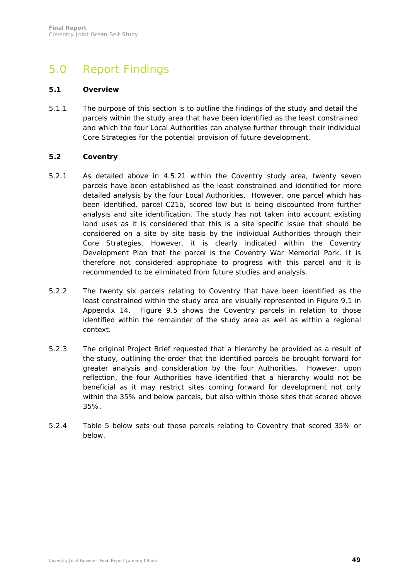# 5.0 Report Findings

#### **5.1 Overview**

5.1.1 The purpose of this section is to outline the findings of the study and detail the parcels within the study area that have been identified as the least constrained and which the four Local Authorities can analyse further through their individual Core Strategies for the potential provision of future development.

#### **5.2 Coventry**

- 5.2.1 As detailed above in 4.5.21 within the Coventry study area, twenty seven parcels have been established as the least constrained and identified for more detailed analysis by the four Local Authorities. However, one parcel which has been identified, parcel C21b, scored low but is being discounted from further analysis and site identification. The study has not taken into account existing land uses as it is considered that this is a site specific issue that should be considered on a site by site basis by the individual Authorities through their Core Strategies. However, it is clearly indicated within the Coventry Development Plan that the parcel is the Coventry War Memorial Park. It is therefore not considered appropriate to progress with this parcel and it is recommended to be eliminated from future studies and analysis.
- 5.2.2 The twenty six parcels relating to Coventry that have been identified as the least constrained within the study area are visually represented in Figure 9.1 in Appendix 14. Figure 9.5 shows the Coventry parcels in relation to those identified within the remainder of the study area as well as within a regional context.
- 5.2.3 The original Project Brief requested that a hierarchy be provided as a result of the study, outlining the order that the identified parcels be brought forward for greater analysis and consideration by the four Authorities. However, upon reflection, the four Authorities have identified that a hierarchy would not be beneficial as it may restrict sites coming forward for development not only within the 35% and below parcels, but also within those sites that scored above 35%.
- 5.2.4 Table 5 below sets out those parcels relating to Coventry that scored 35% or below.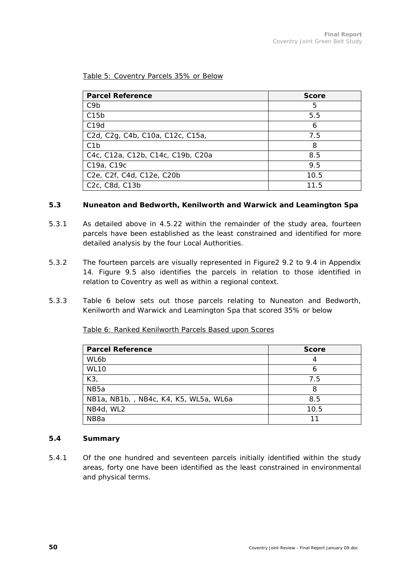#### Table 5: Coventry Parcels 35% or Below

| <b>Parcel Reference</b>                                                                                        | <b>Score</b> |
|----------------------------------------------------------------------------------------------------------------|--------------|
| C <sub>9</sub> b                                                                                               | 5            |
| C15b                                                                                                           | 5.5          |
| C19d                                                                                                           | 6            |
| C <sub>2</sub> d, C <sub>2</sub> g, C <sub>4</sub> b, C <sub>10a</sub> , C <sub>12c</sub> , C <sub>15a</sub> , | 7.5          |
| C <sub>1</sub> b                                                                                               | 8            |
| C4c, C12a, C12b, C14c, C19b, C20a                                                                              | 8.5          |
| C19a, C19c                                                                                                     | 9.5          |
| C <sub>2</sub> e, C <sub>2f</sub> , C <sub>4d</sub> , C <sub>12e</sub> , C <sub>20b</sub>                      | 10.5         |
| C <sub>2</sub> c, C <sub>8</sub> d, C <sub>13</sub> b                                                          | 11.5         |

#### **5.3 Nuneaton and Bedworth, Kenilworth and Warwick and Leamington Spa**

- 5.3.1 As detailed above in 4.5.22 within the remainder of the study area, fourteen parcels have been established as the least constrained and identified for more detailed analysis by the four Local Authorities.
- 5.3.2 The fourteen parcels are visually represented in Figure2 9.2 to 9.4 in Appendix 14. Figure 9.5 also identifies the parcels in relation to those identified in relation to Coventry as well as within a regional context.
- 5.3.3 Table 6 below sets out those parcels relating to Nuneaton and Bedworth, Kenilworth and Warwick and Leamington Spa that scored 35% or below

Table 6: Ranked Kenilworth Parcels Based upon Scores

| <b>Parcel Reference</b>                | <b>Score</b> |
|----------------------------------------|--------------|
| WL6b                                   | 4            |
| <b>WL10</b>                            | n            |
| K3                                     | 7.5          |
| NB <sub>5a</sub>                       | 8            |
| NB1a, NB1b, , NB4c, K4, K5, WL5a, WL6a | 8.5          |
| NB4d, WL2                              | 10.5         |
| NB <sub>8</sub> a                      |              |

#### **5.4 Summary**

5.4.1 Of the one hundred and seventeen parcels initially identified within the study areas, forty one have been identified as the least constrained in environmental and physical terms.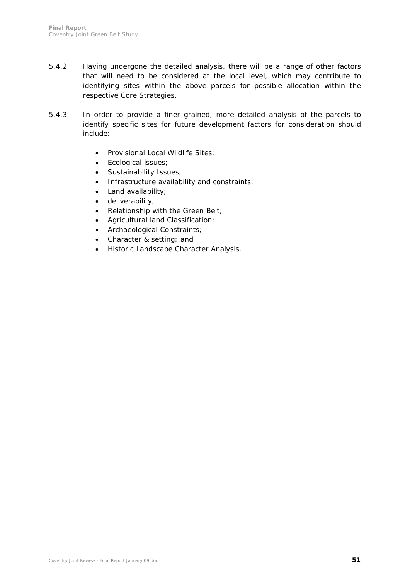- 5.4.2 Having undergone the detailed analysis, there will be a range of other factors that will need to be considered at the local level, which may contribute to identifying sites within the above parcels for possible allocation within the respective Core Strategies.
- 5.4.3 In order to provide a finer grained, more detailed analysis of the parcels to identify specific sites for future development factors for consideration should include:
	- Provisional Local Wildlife Sites;
	- Ecological issues;
	- Sustainability Issues;
	- Infrastructure availability and constraints;
	- Land availability;
	- deliverability;
	- Relationship with the Green Belt;
	- Agricultural land Classification;
	- Archaeological Constraints;
	- Character & setting; and
	- Historic Landscape Character Analysis.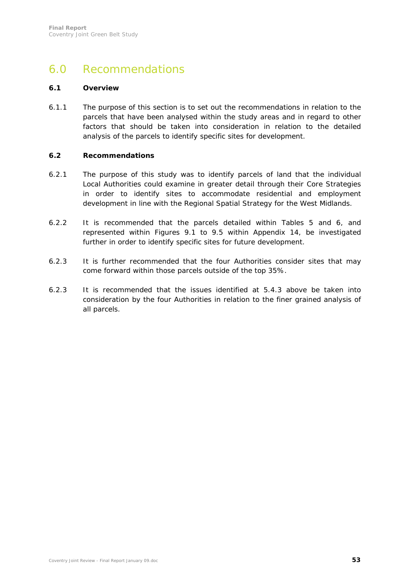# 6.0 Recommendations

### **6.1 Overview**

6.1.1 The purpose of this section is to set out the recommendations in relation to the parcels that have been analysed within the study areas and in regard to other factors that should be taken into consideration in relation to the detailed analysis of the parcels to identify specific sites for development.

#### **6.2 Recommendations**

- 6.2.1 The purpose of this study was to identify parcels of land that the individual Local Authorities could examine in greater detail through their Core Strategies in order to identify sites to accommodate residential and employment development in line with the Regional Spatial Strategy for the West Midlands.
- 6.2.2 It is recommended that the parcels detailed within Tables 5 and 6, and represented within Figures 9.1 to 9.5 within Appendix 14, be investigated further in order to identify specific sites for future development.
- 6.2.3 It is further recommended that the four Authorities consider sites that may come forward within those parcels outside of the top 35%.
- 6.2.3 It is recommended that the issues identified at 5.4.3 above be taken into consideration by the four Authorities in relation to the finer grained analysis of all parcels.